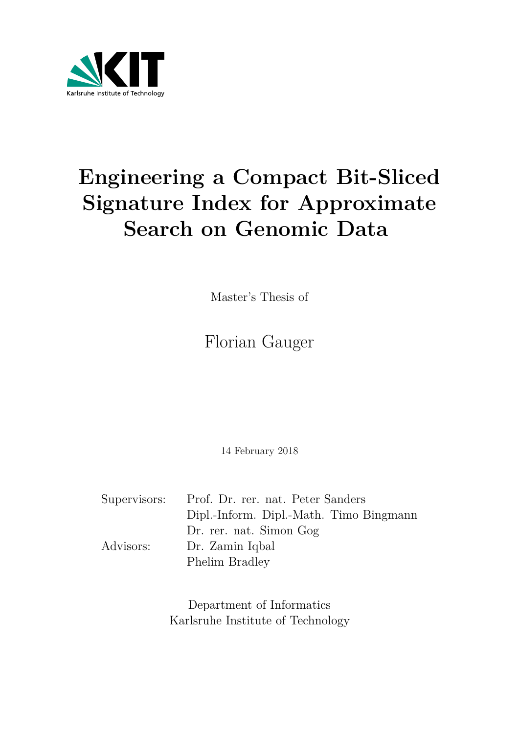

# **Engineering a Compact Bit-Sliced Signature Index for Approximate Search on Genomic Data**

Master's Thesis of

## Florian Gauger

14 February 2018

|           | Supervisors: Prof. Dr. rer. nat. Peter Sanders |
|-----------|------------------------------------------------|
|           | Dipl.-Inform. Dipl.-Math. Timo Bingmann        |
|           | Dr. rer. nat. Simon Gog                        |
| Advisors: | Dr. Zamin Iqbal                                |
|           | Phelim Bradley                                 |

Department of Informatics Karlsruhe Institute of Technology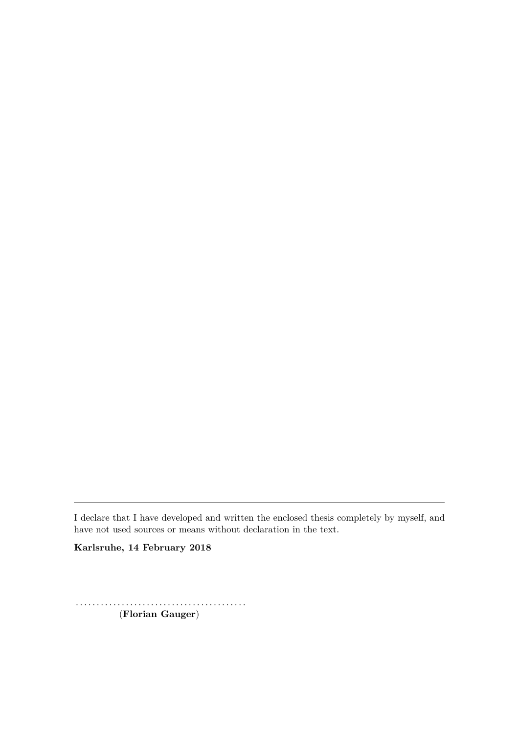I declare that I have developed and written the enclosed thesis completely by myself, and have not used sources or means without declaration in the text.

**Karlsruhe, 14 February 2018**

. . . . . . . . . . . . . . . . . . . . . . . . . . . . . . . . . . . . . . . . . (**Florian Gauger**)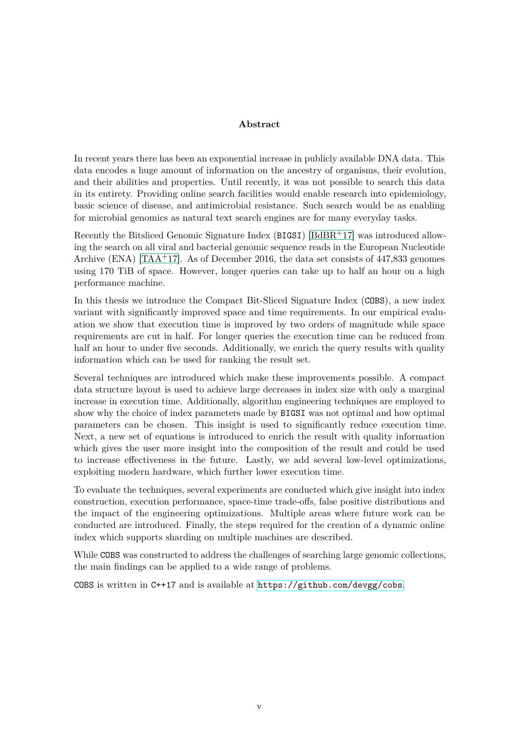#### **Abstract**

In recent years there has been an exponential increase in publicly available DNA data. This data encodes a huge amount of information on the ancestry of organisms, their evolution, and their abilities and properties. Until recently, it was not possible to search this data in its entirety. Providing online search facilities would enable research into epidemiology, basic science of disease, and antimicrobial resistance. Such search would be as enabling for microbial genomics as natural text search engines are for many everyday tasks.

Recently the Bitsliced Genomic Signature Index (BIGSI) [\[BdBR](#page-60-0)+17] was introduced allowing the search on all viral and bacterial genomic sequence reads in the European Nucleotide Archive (ENA) [\[TAA](#page-62-0)<sup>+</sup>17]. As of December 2016, the data set consists of 447,833 genomes using 170 TiB of space. However, longer queries can take up to half an hour on a high performance machine.

In this thesis we introduce the Compact Bit-Sliced Signature Index (COBS), a new index variant with significantly improved space and time requirements. In our empirical evaluation we show that execution time is improved by two orders of magnitude while space requirements are cut in half. For longer queries the execution time can be reduced from half an hour to under five seconds. Additionally, we enrich the query results with quality information which can be used for ranking the result set.

Several techniques are introduced which make these improvements possible. A compact data structure layout is used to achieve large decreases in index size with only a marginal increase in execution time. Additionally, algorithm engineering techniques are employed to show why the choice of index parameters made by BIGSI was not optimal and how optimal parameters can be chosen. This insight is used to significantly reduce execution time. Next, a new set of equations is introduced to enrich the result with quality information which gives the user more insight into the composition of the result and could be used to increase effectiveness in the future. Lastly, we add several low-level optimizations, exploiting modern hardware, which further lower execution time.

To evaluate the techniques, several experiments are conducted which give insight into index construction, execution performance, space-time trade-offs, false positive distributions and the impact of the engineering optimizations. Multiple areas where future work can be conducted are introduced. Finally, the steps required for the creation of a dynamic online index which supports sharding on multiple machines are described.

While COBS was constructed to address the challenges of searching large genomic collections, the main findings can be applied to a wide range of problems.

COBS is written in C++17 and is available at [https://github.com/devgg/cobs](https://github.com/devgg/isi).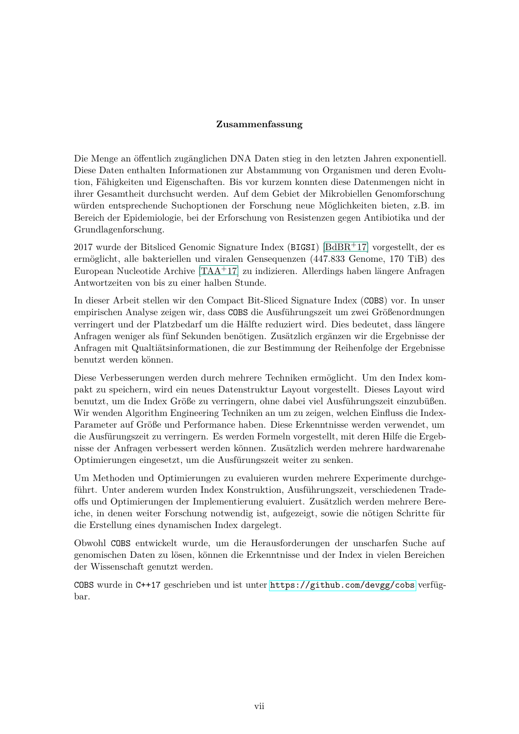#### **Zusammenfassung**

Die Menge an öffentlich zugänglichen DNA Daten stieg in den letzten Jahren exponentiell. Diese Daten enthalten Informationen zur Abstammung von Organismen und deren Evolution, Fähigkeiten und Eigenschaften. Bis vor kurzem konnten diese Datenmengen nicht in ihrer Gesamtheit durchsucht werden. Auf dem Gebiet der Mikrobiellen Genomforschung würden entsprechende Suchoptionen der Forschung neue Möglichkeiten bieten, z.B. im Bereich der Epidemiologie, bei der Erforschung von Resistenzen gegen Antibiotika und der Grundlagenforschung.

2017 wurde der Bitsliced Genomic Signature Index (BIGSI) [\[BdBR](#page-60-0)+17] vorgestellt, der es ermöglicht, alle bakteriellen und viralen Gensequenzen (447.833 Genome, 170 TiB) des European Nucleotide Archive [\[TAA](#page-62-0)+17] zu indizieren. Allerdings haben längere Anfragen Antwortzeiten von bis zu einer halben Stunde.

In dieser Arbeit stellen wir den Compact Bit-Sliced Signature Index (COBS) vor. In unser empirischen Analyse zeigen wir, dass COBS die Ausführungszeit um zwei Größenordnungen verringert und der Platzbedarf um die Hälfte reduziert wird. Dies bedeutet, dass längere Anfragen weniger als fünf Sekunden benötigen. Zusätzlich ergänzen wir die Ergebnisse der Anfragen mit Qualtiätsinformationen, die zur Bestimmung der Reihenfolge der Ergebnisse benutzt werden können.

Diese Verbesserungen werden durch mehrere Techniken ermöglicht. Um den Index kompakt zu speichern, wird ein neues Datenstruktur Layout vorgestellt. Dieses Layout wird benutzt, um die Index Größe zu verringern, ohne dabei viel Ausführungszeit einzubüßen. Wir wenden Algorithm Engineering Techniken an um zu zeigen, welchen Einfluss die Index-Parameter auf Größe und Performance haben. Diese Erkenntnisse werden verwendet, um die Ausfürungszeit zu verringern. Es werden Formeln vorgestellt, mit deren Hilfe die Ergebnisse der Anfragen verbessert werden können. Zusätzlich werden mehrere hardwarenahe Optimierungen eingesetzt, um die Ausfürungszeit weiter zu senken.

Um Methoden und Optimierungen zu evaluieren wurden mehrere Experimente durchgeführt. Unter anderem wurden Index Konstruktion, Ausführungszeit, verschiedenen Tradeoffs und Optimierungen der Implementierung evaluiert. Zusätzlich werden mehrere Bereiche, in denen weiter Forschung notwendig ist, aufgezeigt, sowie die nötigen Schritte für die Erstellung eines dynamischen Index dargelegt.

Obwohl COBS entwickelt wurde, um die Herausforderungen der unscharfen Suche auf genomischen Daten zu lösen, können die Erkenntnisse und der Index in vielen Bereichen der Wissenschaft genutzt werden.

COBS wurde in C++17 geschrieben und ist unter [https://github.com/devgg/cobs](https://github.com/devgg/isi) verfügbar.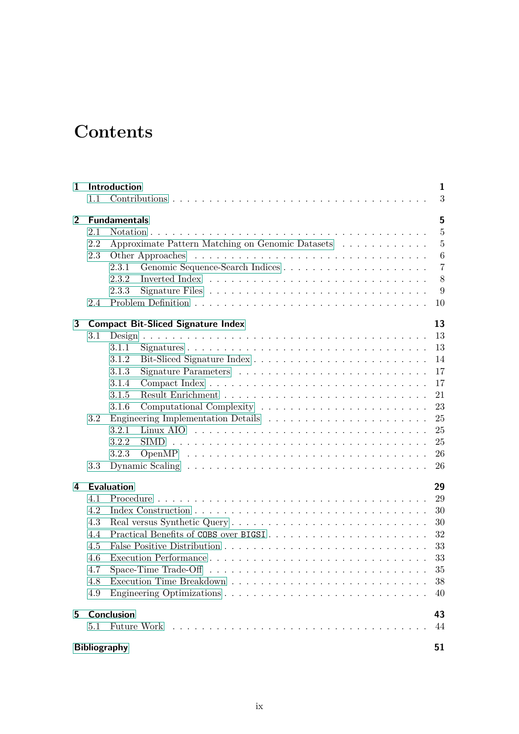## **Contents**

| 1              |     | Introduction                                                                                   | 1               |  |  |  |  |  |  |  |  |
|----------------|-----|------------------------------------------------------------------------------------------------|-----------------|--|--|--|--|--|--|--|--|
|                | 1.1 |                                                                                                | 3               |  |  |  |  |  |  |  |  |
| $\overline{2}$ |     | 5<br><b>Fundamentals</b>                                                                       |                 |  |  |  |  |  |  |  |  |
|                | 2.1 |                                                                                                | $\overline{5}$  |  |  |  |  |  |  |  |  |
|                | 2.2 | Approximate Pattern Matching on Genomic Datasets                                               | $\overline{5}$  |  |  |  |  |  |  |  |  |
|                | 2.3 |                                                                                                | $6\phantom{.}6$ |  |  |  |  |  |  |  |  |
|                |     | 2.3.1                                                                                          | $\overline{7}$  |  |  |  |  |  |  |  |  |
|                |     | 2.3.2                                                                                          | $8\,$           |  |  |  |  |  |  |  |  |
|                |     | 2.3.3                                                                                          | 9               |  |  |  |  |  |  |  |  |
|                | 2.4 |                                                                                                | 10              |  |  |  |  |  |  |  |  |
| 3              |     | <b>Compact Bit-Sliced Signature Index</b>                                                      | 13              |  |  |  |  |  |  |  |  |
|                | 3.1 |                                                                                                | 13              |  |  |  |  |  |  |  |  |
|                |     | 3.1.1                                                                                          | 13              |  |  |  |  |  |  |  |  |
|                |     | 3.1.2                                                                                          | 14              |  |  |  |  |  |  |  |  |
|                |     | 3.1.3                                                                                          | 17              |  |  |  |  |  |  |  |  |
|                |     | 3.1.4                                                                                          | 17              |  |  |  |  |  |  |  |  |
|                |     | 3.1.5                                                                                          | 21              |  |  |  |  |  |  |  |  |
|                |     | 3.1.6                                                                                          | 23              |  |  |  |  |  |  |  |  |
|                | 3.2 |                                                                                                | 25              |  |  |  |  |  |  |  |  |
|                |     | 3.2.1                                                                                          | 25              |  |  |  |  |  |  |  |  |
|                |     | 3.2.2                                                                                          | 25              |  |  |  |  |  |  |  |  |
|                |     | 3.2.3                                                                                          | 26              |  |  |  |  |  |  |  |  |
|                | 3.3 |                                                                                                | 26              |  |  |  |  |  |  |  |  |
| 4              |     | <b>Evaluation</b>                                                                              | 29              |  |  |  |  |  |  |  |  |
|                | 4.1 |                                                                                                | 29              |  |  |  |  |  |  |  |  |
|                | 4.2 |                                                                                                | 30              |  |  |  |  |  |  |  |  |
|                | 4.3 |                                                                                                | 30              |  |  |  |  |  |  |  |  |
|                | 4.4 | Practical Benefits of COBS over BIGSI                                                          | 32              |  |  |  |  |  |  |  |  |
|                | 4.5 |                                                                                                | 33              |  |  |  |  |  |  |  |  |
|                | 4.6 |                                                                                                | 33              |  |  |  |  |  |  |  |  |
|                | 4.7 | Space-Time Trade-Off $\dots \dots \dots \dots \dots \dots \dots \dots \dots \dots \dots \dots$ | 35              |  |  |  |  |  |  |  |  |
|                | 4.8 |                                                                                                | 38              |  |  |  |  |  |  |  |  |
|                | 4.9 |                                                                                                | 40              |  |  |  |  |  |  |  |  |
| 5              |     | <b>Conclusion</b>                                                                              | 43              |  |  |  |  |  |  |  |  |
|                | 5.1 |                                                                                                | 44              |  |  |  |  |  |  |  |  |
|                |     | <b>Bibliography</b>                                                                            | 51              |  |  |  |  |  |  |  |  |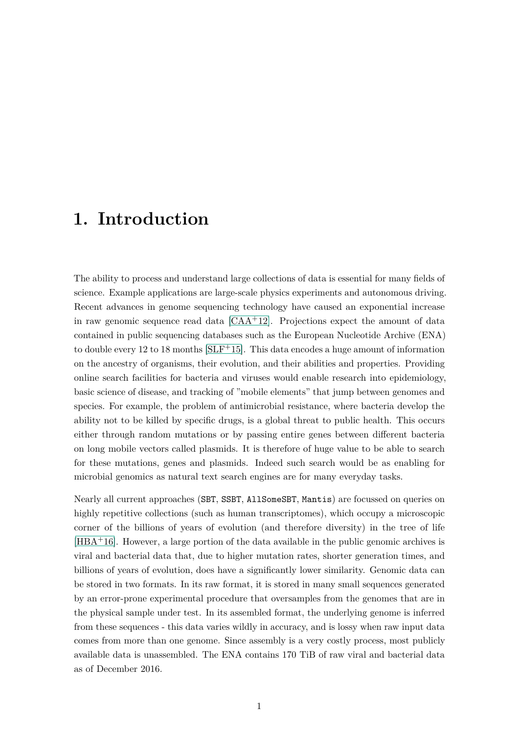### <span id="page-10-0"></span>**1. Introduction**

The ability to process and understand large collections of data is essential for many fields of science. Example applications are large-scale physics experiments and autonomous driving. Recent advances in genome sequencing technology have caused an exponential increase in raw genomic sequence read data  $[CAA+12]$  $[CAA+12]$ . Projections expect the amount of data contained in public sequencing databases such as the European Nucleotide Archive (ENA) to double every 12 to 18 months  $SLF+15$ . This data encodes a huge amount of information on the ancestry of organisms, their evolution, and their abilities and properties. Providing online search facilities for bacteria and viruses would enable research into epidemiology, basic science of disease, and tracking of "mobile elements" that jump between genomes and species. For example, the problem of antimicrobial resistance, where bacteria develop the ability not to be killed by specific drugs, is a global threat to public health. This occurs either through random mutations or by passing entire genes between different bacteria on long mobile vectors called plasmids. It is therefore of huge value to be able to search for these mutations, genes and plasmids. Indeed such search would be as enabling for microbial genomics as natural text search engines are for many everyday tasks.

Nearly all current approaches (SBT, SSBT, AllSomeSBT, Mantis) are focussed on queries on highly repetitive collections (such as human transcriptomes), which occupy a microscopic corner of the billions of years of evolution (and therefore diversity) in the tree of life [\[HBA](#page-61-0)+16]. However, a large portion of the data available in the public genomic archives is viral and bacterial data that, due to higher mutation rates, shorter generation times, and billions of years of evolution, does have a significantly lower similarity. Genomic data can be stored in two formats. In its raw format, it is stored in many small sequences generated by an error-prone experimental procedure that oversamples from the genomes that are in the physical sample under test. In its assembled format, the underlying genome is inferred from these sequences - this data varies wildly in accuracy, and is lossy when raw input data comes from more than one genome. Since assembly is a very costly process, most publicly available data is unassembled. The ENA contains 170 TiB of raw viral and bacterial data as of December 2016.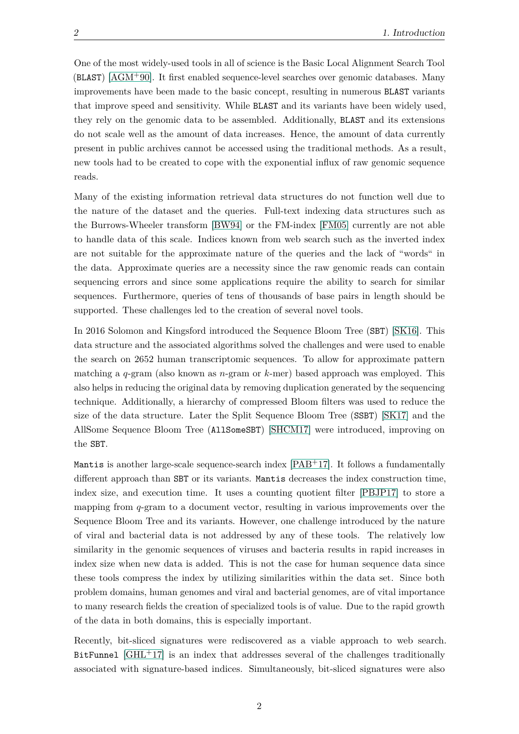One of the most widely-used tools in all of science is the Basic Local Alignment Search Tool (BLAST) [\[AGM](#page-60-3)+90]. It first enabled sequence-level searches over genomic databases. Many improvements have been made to the basic concept, resulting in numerous BLAST variants that improve speed and sensitivity. While BLAST and its variants have been widely used, they rely on the genomic data to be assembled. Additionally, BLAST and its extensions do not scale well as the amount of data increases. Hence, the amount of data currently present in public archives cannot be accessed using the traditional methods. As a result, new tools had to be created to cope with the exponential influx of raw genomic sequence reads.

Many of the existing information retrieval data structures do not function well due to the nature of the dataset and the queries. Full-text indexing data structures such as the Burrows-Wheeler transform [\[BW94\]](#page-60-4) or the FM-index [\[FM05\]](#page-61-1) currently are not able to handle data of this scale. Indices known from web search such as the inverted index are not suitable for the approximate nature of the queries and the lack of "words" in the data. Approximate queries are a necessity since the raw genomic reads can contain sequencing errors and since some applications require the ability to search for similar sequences. Furthermore, queries of tens of thousands of base pairs in length should be supported. These challenges led to the creation of several novel tools.

In 2016 Solomon and Kingsford introduced the Sequence Bloom Tree (SBT) [\[SK16\]](#page-62-2). This data structure and the associated algorithms solved the challenges and were used to enable the search on 2652 human transcriptomic sequences. To allow for approximate pattern matching a *q*-gram (also known as *n*-gram or *k*-mer) based approach was employed. This also helps in reducing the original data by removing duplication generated by the sequencing technique. Additionally, a hierarchy of compressed Bloom filters was used to reduce the size of the data structure. Later the Split Sequence Bloom Tree (SSBT) [\[SK17\]](#page-62-3) and the AllSome Sequence Bloom Tree (AllSomeSBT) [\[SHCM17\]](#page-62-4) were introduced, improving on the SBT.

Mantis is another large-scale sequence-search index [\[PAB](#page-61-2)+17]. It follows a fundamentally different approach than SBT or its variants. Mantis decreases the index construction time, index size, and execution time. It uses a counting quotient filter [\[PBJP17\]](#page-62-5) to store a mapping from *q*-gram to a document vector, resulting in various improvements over the Sequence Bloom Tree and its variants. However, one challenge introduced by the nature of viral and bacterial data is not addressed by any of these tools. The relatively low similarity in the genomic sequences of viruses and bacteria results in rapid increases in index size when new data is added. This is not the case for human sequence data since these tools compress the index by utilizing similarities within the data set. Since both problem domains, human genomes and viral and bacterial genomes, are of vital importance to many research fields the creation of specialized tools is of value. Due to the rapid growth of the data in both domains, this is especially important.

Recently, bit-sliced signatures were rediscovered as a viable approach to web search. BitFunnel  $\left[\text{GHL}^+17\right]$  is an index that addresses several of the challenges traditionally associated with signature-based indices. Simultaneously, bit-sliced signatures were also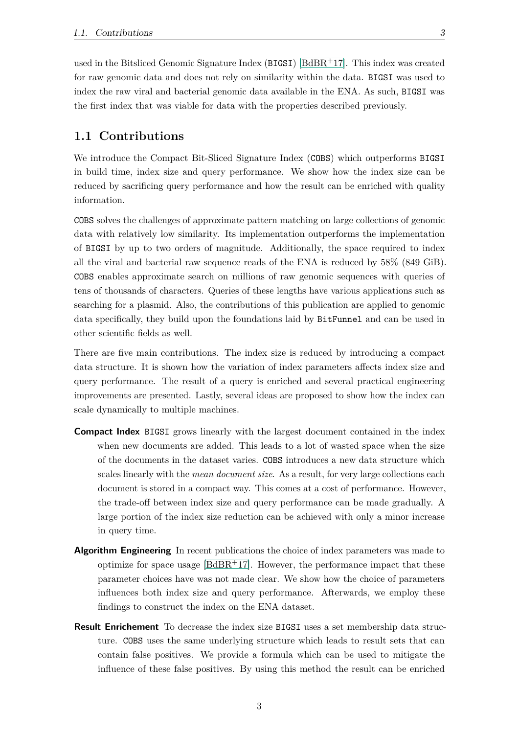used in the Bitsliced Genomic Signature Index (BIGSI) [\[BdBR](#page-60-0)+17]. This index was created for raw genomic data and does not rely on similarity within the data. BIGSI was used to index the raw viral and bacterial genomic data available in the ENA. As such, BIGSI was the first index that was viable for data with the properties described previously.

#### <span id="page-12-0"></span>**1.1 Contributions**

We introduce the Compact Bit-Sliced Signature Index (COBS) which outperforms BIGSI in build time, index size and query performance. We show how the index size can be reduced by sacrificing query performance and how the result can be enriched with quality information.

COBS solves the challenges of approximate pattern matching on large collections of genomic data with relatively low similarity. Its implementation outperforms the implementation of BIGSI by up to two orders of magnitude. Additionally, the space required to index all the viral and bacterial raw sequence reads of the ENA is reduced by 58% (849 GiB). COBS enables approximate search on millions of raw genomic sequences with queries of tens of thousands of characters. Queries of these lengths have various applications such as searching for a plasmid. Also, the contributions of this publication are applied to genomic data specifically, they build upon the foundations laid by BitFunnel and can be used in other scientific fields as well.

There are five main contributions. The index size is reduced by introducing a compact data structure. It is shown how the variation of index parameters affects index size and query performance. The result of a query is enriched and several practical engineering improvements are presented. Lastly, several ideas are proposed to show how the index can scale dynamically to multiple machines.

- **Compact Index** BIGSI grows linearly with the largest document contained in the index when new documents are added. This leads to a lot of wasted space when the size of the documents in the dataset varies. COBS introduces a new data structure which scales linearly with the *mean document size*. As a result, for very large collections each document is stored in a compact way. This comes at a cost of performance. However, the trade-off between index size and query performance can be made gradually. A large portion of the index size reduction can be achieved with only a minor increase in query time.
- **Algorithm Engineering** In recent publications the choice of index parameters was made to optimize for space usage  $[BdBR+17]$  $[BdBR+17]$ . However, the performance impact that these parameter choices have was not made clear. We show how the choice of parameters influences both index size and query performance. Afterwards, we employ these findings to construct the index on the ENA dataset.
- **Result Enrichement** To decrease the index size BIGSI uses a set membership data structure. COBS uses the same underlying structure which leads to result sets that can contain false positives. We provide a formula which can be used to mitigate the influence of these false positives. By using this method the result can be enriched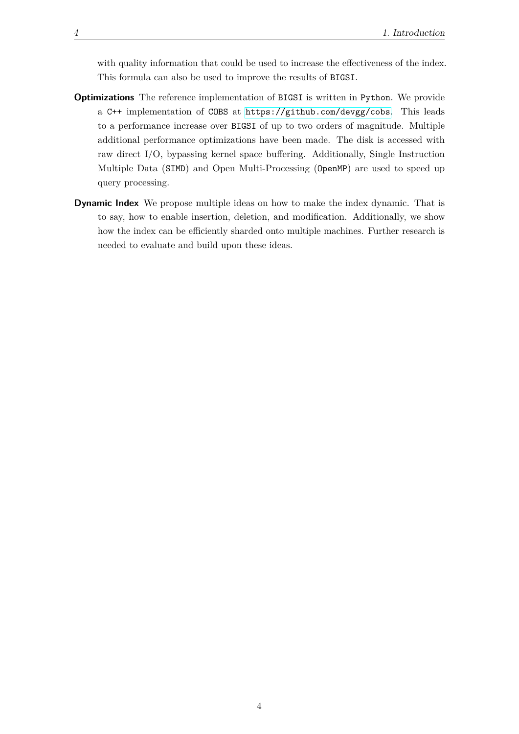with quality information that could be used to increase the effectiveness of the index. This formula can also be used to improve the results of BIGSI.

- **Optimizations** The reference implementation of BIGSI is written in Python. We provide a C++ implementation of COBS at [https://github.com/devgg/cobs](https://github.com/devgg/isi). This leads to a performance increase over BIGSI of up to two orders of magnitude. Multiple additional performance optimizations have been made. The disk is accessed with raw direct I/O, bypassing kernel space buffering. Additionally, Single Instruction Multiple Data (SIMD) and Open Multi-Processing (OpenMP) are used to speed up query processing.
- **Dynamic Index** We propose multiple ideas on how to make the index dynamic. That is to say, how to enable insertion, deletion, and modification. Additionally, we show how the index can be efficiently sharded onto multiple machines. Further research is needed to evaluate and build upon these ideas.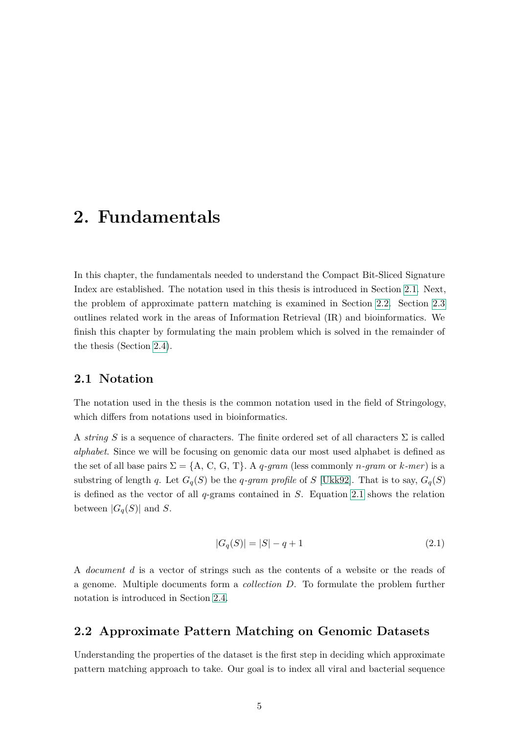### <span id="page-14-0"></span>**2. Fundamentals**

In this chapter, the fundamentals needed to understand the Compact Bit-Sliced Signature Index are established. The notation used in this thesis is introduced in Section [2.1.](#page-14-1) Next, the problem of approximate pattern matching is examined in Section [2.2.](#page-14-2) Section [2.3](#page-15-0) outlines related work in the areas of Information Retrieval (IR) and bioinformatics. We finish this chapter by formulating the main problem which is solved in the remainder of the thesis (Section [2.4\)](#page-19-0).

#### <span id="page-14-1"></span>**2.1 Notation**

The notation used in the thesis is the common notation used in the field of Stringology, which differs from notations used in bioinformatics.

A *string S* is a sequence of characters. The finite ordered set of all characters  $\Sigma$  is called *alphabet*. Since we will be focusing on genomic data our most used alphabet is defined as the set of all base pairs  $\Sigma = \{A, C, G, T\}$ . A *q*-gram (less commonly *n*-gram or *k*-mer) is a substring of length *q*. Let  $G_q(S)$  be the *q*-gram profile of *S* [\[Ukk92\]](#page-62-6). That is to say,  $G_q(S)$ is defined as the vector of all *q*-grams contained in *S*. Equation [2.1](#page-14-3) shows the relation between  $|G_q(S)|$  and *S*.

$$
|G_q(S)| = |S| - q + 1 \tag{2.1}
$$

<span id="page-14-3"></span>A *document d* is a vector of strings such as the contents of a website or the reads of a genome. Multiple documents form a *collection D*. To formulate the problem further notation is introduced in Section [2.4.](#page-19-0)

#### <span id="page-14-2"></span>**2.2 Approximate Pattern Matching on Genomic Datasets**

Understanding the properties of the dataset is the first step in deciding which approximate pattern matching approach to take. Our goal is to index all viral and bacterial sequence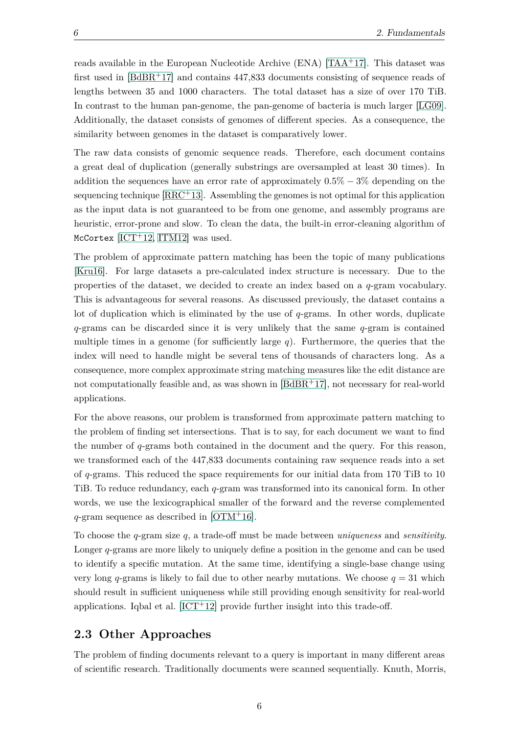reads available in the European Nucleotide Archive (ENA) [\[TAA](#page-62-0)+17]. This dataset was first used in  $[BdBR<sup>+</sup>17]$  $[BdBR<sup>+</sup>17]$  and contains 447,833 documents consisting of sequence reads of lengths between 35 and 1000 characters. The total dataset has a size of over 170 TiB. In contrast to the human pan-genome, the pan-genome of bacteria is much larger [\[LG09\]](#page-61-4). Additionally, the dataset consists of genomes of different species. As a consequence, the similarity between genomes in the dataset is comparatively lower.

The raw data consists of genomic sequence reads. Therefore, each document contains a great deal of duplication (generally substrings are oversampled at least 30 times). In addition the sequences have an error rate of approximately 0*.*5% − 3% depending on the sequencing technique  $[RRC+13]$  $[RRC+13]$ . Assembling the genomes is not optimal for this application as the input data is not guaranteed to be from one genome, and assembly programs are heuristic, error-prone and slow. To clean the data, the built-in error-cleaning algorithm of McCortex  $[ICT+12, ITM12]$  $[ICT+12, ITM12]$  $[ICT+12, ITM12]$  was used.

The problem of approximate pattern matching has been the topic of many publications [\[Kru16\]](#page-61-7). For large datasets a pre-calculated index structure is necessary. Due to the properties of the dataset, we decided to create an index based on a *q*-gram vocabulary. This is advantageous for several reasons. As discussed previously, the dataset contains a lot of duplication which is eliminated by the use of *q*-grams. In other words, duplicate *q*-grams can be discarded since it is very unlikely that the same *q*-gram is contained multiple times in a genome (for sufficiently large *q*). Furthermore, the queries that the index will need to handle might be several tens of thousands of characters long. As a consequence, more complex approximate string matching measures like the edit distance are not computationally feasible and, as was shown in  $[BdBR+17]$  $[BdBR+17]$ , not necessary for real-world applications.

For the above reasons, our problem is transformed from approximate pattern matching to the problem of finding set intersections. That is to say, for each document we want to find the number of *q*-grams both contained in the document and the query. For this reason, we transformed each of the 447,833 documents containing raw sequence reads into a set of *q*-grams. This reduced the space requirements for our initial data from 170 TiB to 10 TiB. To reduce redundancy, each *q*-gram was transformed into its canonical form. In other words, we use the lexicographical smaller of the forward and the reverse complemented *q*-gram sequence as described in [\[OTM](#page-61-8)+16].

To choose the *q*-gram size *q*, a trade-off must be made between *uniqueness* and *sensitivity*. Longer *q*-grams are more likely to uniquely define a position in the genome and can be used to identify a specific mutation. At the same time, identifying a single-base change using very long *q*-grams is likely to fail due to other nearby mutations. We choose  $q = 31$  which should result in sufficient uniqueness while still providing enough sensitivity for real-world applications. Igbal et al.  $[ICT+12]$  $[ICT+12]$  provide further insight into this trade-off.

#### <span id="page-15-0"></span>**2.3 Other Approaches**

The problem of finding documents relevant to a query is important in many different areas of scientific research. Traditionally documents were scanned sequentially. Knuth, Morris,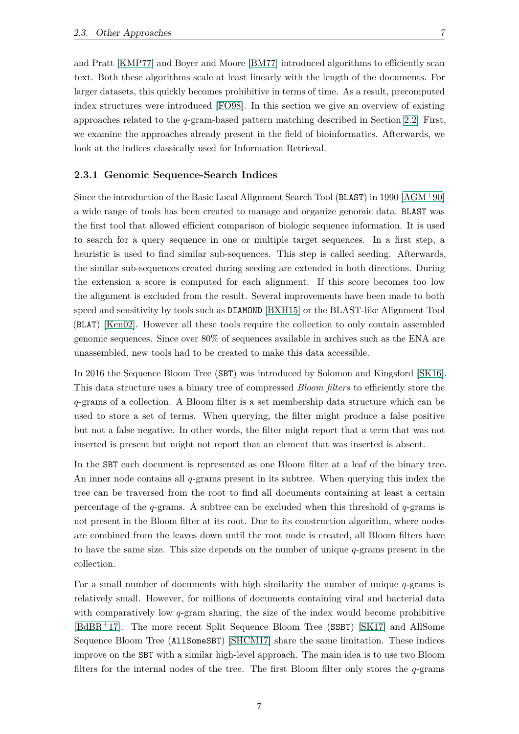and Pratt [\[KMP77\]](#page-61-9) and Boyer and Moore [\[BM77\]](#page-60-5) introduced algorithms to efficiently scan text. Both these algorithms scale at least linearly with the length of the documents. For larger datasets, this quickly becomes prohibitive in terms of time. As a result, precomputed index structures were introduced [\[FO98\]](#page-61-10). In this section we give an overview of existing approaches related to the *q*-gram-based pattern matching described in Section [2.2.](#page-14-2) First, we examine the approaches already present in the field of bioinformatics. Afterwards, we look at the indices classically used for Information Retrieval.

#### <span id="page-16-0"></span>**2.3.1 Genomic Sequence-Search Indices**

Since the introduction of the Basic Local Alignment Search Tool (BLAST) in 1990 [\[AGM](#page-60-3)+90] a wide range of tools has been created to manage and organize genomic data. BLAST was the first tool that allowed efficient comparison of biologic sequence information. It is used to search for a query sequence in one or multiple target sequences. In a first step, a heuristic is used to find similar sub-sequences. This step is called seeding. Afterwards, the similar sub-sequences created during seeding are extended in both directions. During the extension a score is computed for each alignment. If this score becomes too low the alignment is excluded from the result. Several improvements have been made to both speed and sensitivity by tools such as DIAMOND [\[BXH15\]](#page-60-6) or the BLAST-like Alignment Tool (BLAT) [\[Ken02\]](#page-61-11). However all these tools require the collection to only contain assembled genomic sequences. Since over 80% of sequences available in archives such as the ENA are unassembled, new tools had to be created to make this data accessible.

In 2016 the Sequence Bloom Tree (SBT) was introduced by Solomon and Kingsford [\[SK16\]](#page-62-2). This data structure uses a binary tree of compressed *Bloom filters* to efficiently store the *q*-grams of a collection. A Bloom filter is a set membership data structure which can be used to store a set of terms. When querying, the filter might produce a false positive but not a false negative. In other words, the filter might report that a term that was not inserted is present but might not report that an element that was inserted is absent.

In the SBT each document is represented as one Bloom filter at a leaf of the binary tree. An inner node contains all *q*-grams present in its subtree. When querying this index the tree can be traversed from the root to find all documents containing at least a certain percentage of the *q*-grams. A subtree can be excluded when this threshold of *q*-grams is not present in the Bloom filter at its root. Due to its construction algorithm, where nodes are combined from the leaves down until the root node is created, all Bloom filters have to have the same size. This size depends on the number of unique *q*-grams present in the collection.

For a small number of documents with high similarity the number of unique *q*-grams is relatively small. However, for millions of documents containing viral and bacterial data with comparatively low *q*-gram sharing, the size of the index would become prohibitive [\[BdBR](#page-60-0)+17]. The more recent Split Sequence Bloom Tree (SSBT) [\[SK17\]](#page-62-3) and AllSome Sequence Bloom Tree (AllSomeSBT) [\[SHCM17\]](#page-62-4) share the same limitation. These indices improve on the SBT with a similar high-level approach. The main idea is to use two Bloom filters for the internal nodes of the tree. The first Bloom filter only stores the *q*-grams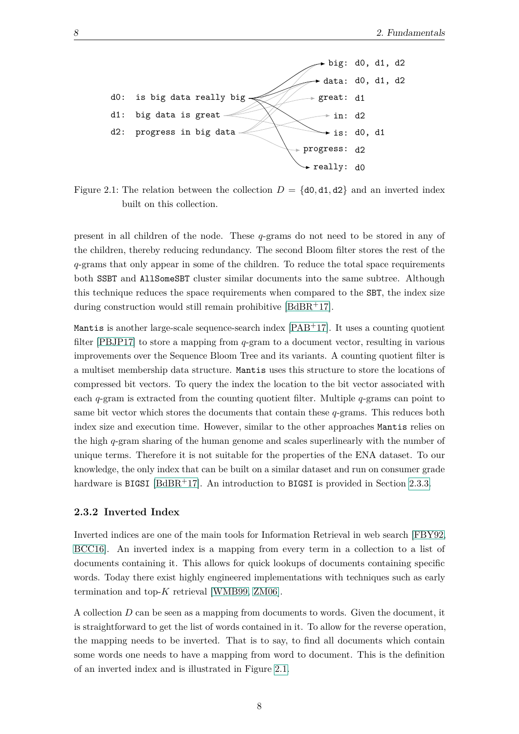<span id="page-17-1"></span>

Figure 2.1: The relation between the collection  $D = \{d0, d1, d2\}$  and an inverted index built on this collection.

present in all children of the node. These *q*-grams do not need to be stored in any of the children, thereby reducing redundancy. The second Bloom filter stores the rest of the *q*-grams that only appear in some of the children. To reduce the total space requirements both SSBT and AllSomeSBT cluster similar documents into the same subtree. Although this technique reduces the space requirements when compared to the SBT, the index size during construction would still remain prohibitive  $[BdBR+17]$  $[BdBR+17]$ .

Mantis is another large-scale sequence-search index  $[PAB<sup>+</sup>17]$  $[PAB<sup>+</sup>17]$ . It uses a counting quotient filter [\[PBJP17\]](#page-62-5) to store a mapping from *q*-gram to a document vector, resulting in various improvements over the Sequence Bloom Tree and its variants. A counting quotient filter is a multiset membership data structure. Mantis uses this structure to store the locations of compressed bit vectors. To query the index the location to the bit vector associated with each *q*-gram is extracted from the counting quotient filter. Multiple *q*-grams can point to same bit vector which stores the documents that contain these *q*-grams. This reduces both index size and execution time. However, similar to the other approaches Mantis relies on the high *q*-gram sharing of the human genome and scales superlinearly with the number of unique terms. Therefore it is not suitable for the properties of the ENA dataset. To our knowledge, the only index that can be built on a similar dataset and run on consumer grade hardware is BIGSI [\[BdBR](#page-60-0)+17]. An introduction to BIGSI is provided in Section [2.3.3.](#page-18-0)

#### <span id="page-17-0"></span>**2.3.2 Inverted Index**

Inverted indices are one of the main tools for Information Retrieval in web search [\[FBY92,](#page-60-7) [BCC16\]](#page-60-8). An inverted index is a mapping from every term in a collection to a list of documents containing it. This allows for quick lookups of documents containing specific words. Today there exist highly engineered implementations with techniques such as early termination and top-*K* retrieval [\[WMB99,](#page-62-8) [ZM06\]](#page-62-9).

A collection *D* can be seen as a mapping from documents to words. Given the document, it is straightforward to get the list of words contained in it. To allow for the reverse operation, the mapping needs to be inverted. That is to say, to find all documents which contain some words one needs to have a mapping from word to document. This is the definition of an inverted index and is illustrated in Figure [2.1.](#page-17-1)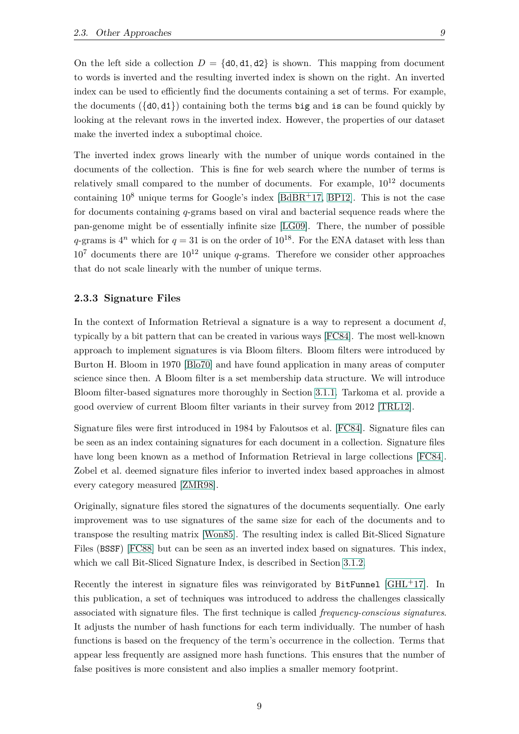On the left side a collection  $D = \{d0, d1, d2\}$  is shown. This mapping from document to words is inverted and the resulting inverted index is shown on the right. An inverted index can be used to efficiently find the documents containing a set of terms. For example, the documents  $(\{d0, d1\})$  containing both the terms big and is can be found quickly by looking at the relevant rows in the inverted index. However, the properties of our dataset make the inverted index a suboptimal choice.

The inverted index grows linearly with the number of unique words contained in the documents of the collection. This is fine for web search where the number of terms is relatively small compared to the number of documents. For example,  $10^{12}$  documents containing  $10^8$  unique terms for Google's index [\[BdBR](#page-60-0)+17, [BP12\]](#page-60-9). This is not the case for documents containing *q*-grams based on viral and bacterial sequence reads where the pan-genome might be of essentially infinite size [\[LG09\]](#page-61-4). There, the number of possible  $q$ -grams is  $4^n$  which for  $q = 31$  is on the order of  $10^{18}$ . For the ENA dataset with less than  $10^7$  documents there are  $10^{12}$  unique *q*-grams. Therefore we consider other approaches that do not scale linearly with the number of unique terms.

#### <span id="page-18-0"></span>**2.3.3 Signature Files**

In the context of Information Retrieval a signature is a way to represent a document *d*, typically by a bit pattern that can be created in various ways [\[FC84\]](#page-61-12). The most well-known approach to implement signatures is via Bloom filters. Bloom filters were introduced by Burton H. Bloom in 1970 [\[Blo70\]](#page-60-10) and have found application in many areas of computer science since then. A Bloom filter is a set membership data structure. We will introduce Bloom filter-based signatures more thoroughly in Section [3.1.1.](#page-22-2) Tarkoma et al. provide a good overview of current Bloom filter variants in their survey from 2012 [\[TRL12\]](#page-62-10).

Signature files were first introduced in 1984 by Faloutsos et al. [\[FC84\]](#page-61-12). Signature files can be seen as an index containing signatures for each document in a collection. Signature files have long been known as a method of Information Retrieval in large collections [\[FC84\]](#page-61-12). Zobel et al. deemed signature files inferior to inverted index based approaches in almost every category measured [\[ZMR98\]](#page-62-11).

Originally, signature files stored the signatures of the documents sequentially. One early improvement was to use signatures of the same size for each of the documents and to transpose the resulting matrix [\[Won85\]](#page-62-12). The resulting index is called Bit-Sliced Signature Files (BSSF) [\[FC88\]](#page-61-13) but can be seen as an inverted index based on signatures. This index, which we call Bit-Sliced Signature Index, is described in Section [3.1.2.](#page-23-0)

Recently the interest in signature files was reinvigorated by  $BitFunnel [GHL<sup>+</sup>17]$  $BitFunnel [GHL<sup>+</sup>17]$  $BitFunnel [GHL<sup>+</sup>17]$ . In this publication, a set of techniques was introduced to address the challenges classically associated with signature files. The first technique is called *frequency-conscious signatures*. It adjusts the number of hash functions for each term individually. The number of hash functions is based on the frequency of the term's occurrence in the collection. Terms that appear less frequently are assigned more hash functions. This ensures that the number of false positives is more consistent and also implies a smaller memory footprint.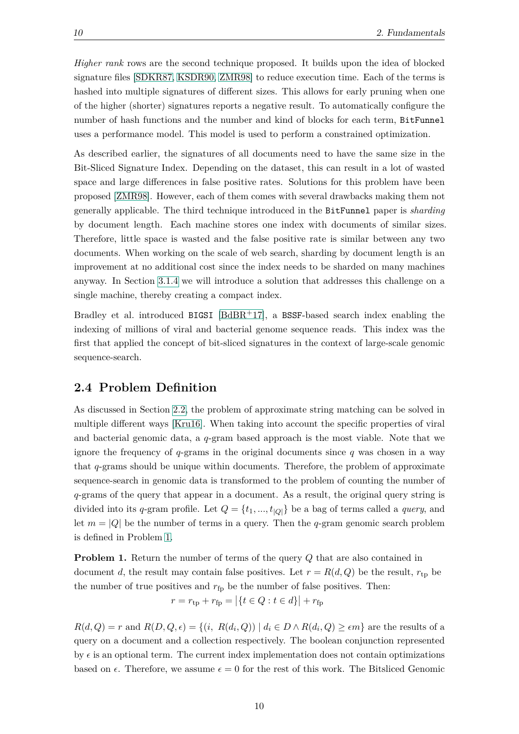*Higher rank* rows are the second technique proposed. It builds upon the idea of blocked signature files [\[SDKR87,](#page-62-13) [KSDR90,](#page-61-14) [ZMR98\]](#page-62-11) to reduce execution time. Each of the terms is hashed into multiple signatures of different sizes. This allows for early pruning when one of the higher (shorter) signatures reports a negative result. To automatically configure the number of hash functions and the number and kind of blocks for each term, BitFunnel uses a performance model. This model is used to perform a constrained optimization.

As described earlier, the signatures of all documents need to have the same size in the Bit-Sliced Signature Index. Depending on the dataset, this can result in a lot of wasted space and large differences in false positive rates. Solutions for this problem have been proposed [\[ZMR98\]](#page-62-11). However, each of them comes with several drawbacks making them not generally applicable. The third technique introduced in the BitFunnel paper is *sharding* by document length. Each machine stores one index with documents of similar sizes. Therefore, little space is wasted and the false positive rate is similar between any two documents. When working on the scale of web search, sharding by document length is an improvement at no additional cost since the index needs to be sharded on many machines anyway. In Section [3.1.4](#page-26-1) we will introduce a solution that addresses this challenge on a single machine, thereby creating a compact index.

Bradley et al. introduced BIGSI [\[BdBR](#page-60-0)+17], a BSSF-based search index enabling the indexing of millions of viral and bacterial genome sequence reads. This index was the first that applied the concept of bit-sliced signatures in the context of large-scale genomic sequence-search.

#### <span id="page-19-0"></span>**2.4 Problem Definition**

As discussed in Section [2.2,](#page-14-2) the problem of approximate string matching can be solved in multiple different ways [\[Kru16\]](#page-61-7). When taking into account the specific properties of viral and bacterial genomic data, a *q*-gram based approach is the most viable. Note that we ignore the frequency of *q*-grams in the original documents since *q* was chosen in a way that *q*-grams should be unique within documents. Therefore, the problem of approximate sequence-search in genomic data is transformed to the problem of counting the number of *q*-grams of the query that appear in a document. As a result, the original query string is divided into its *q*-gram profile. Let  $Q = \{t_1, ..., t_{|Q|}\}$  be a bag of terms called a *query*, and let  $m = |Q|$  be the number of terms in a query. Then the *q*-gram genomic search problem is defined in Problem [1.](#page-19-1)

<span id="page-19-1"></span>**Problem 1.** Return the number of terms of the query *Q* that are also contained in document *d*, the result may contain false positives. Let  $r = R(d, Q)$  be the result,  $r_{tp}$  be the number of true positives and  $r_{fp}$  be the number of false positives. Then:

$$
r = r_{\rm tp} + r_{\rm fp} = |\{t \in Q : t \in d\}| + r_{\rm fp}
$$

 $R(d, Q) = r$  and  $R(D, Q, \epsilon) = \{(i, R(d_i, Q)) \mid d_i \in D \land R(d_i, Q) \geq \epsilon m\}$  are the results of a query on a document and a collection respectively. The boolean conjunction represented by  $\epsilon$  is an optional term. The current index implementation does not contain optimizations based on  $\epsilon$ . Therefore, we assume  $\epsilon = 0$  for the rest of this work. The Bitsliced Genomic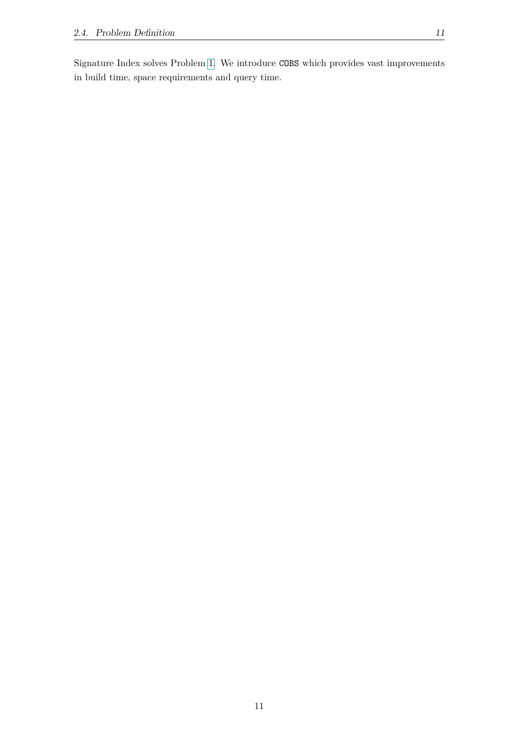Signature Index solves Problem [1.](#page-19-1) We introduce COBS which provides vast improvements in build time, space requirements and query time.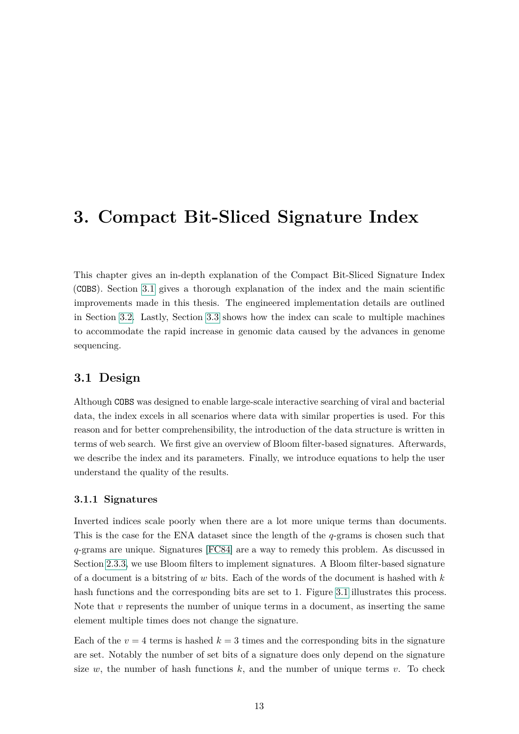### <span id="page-22-0"></span>**3. Compact Bit-Sliced Signature Index**

This chapter gives an in-depth explanation of the Compact Bit-Sliced Signature Index (COBS). Section [3.1](#page-22-1) gives a thorough explanation of the index and the main scientific improvements made in this thesis. The engineered implementation details are outlined in Section [3.2.](#page-34-0) Lastly, Section [3.3](#page-35-1) shows how the index can scale to multiple machines to accommodate the rapid increase in genomic data caused by the advances in genome sequencing.

#### <span id="page-22-1"></span>**3.1 Design**

Although COBS was designed to enable large-scale interactive searching of viral and bacterial data, the index excels in all scenarios where data with similar properties is used. For this reason and for better comprehensibility, the introduction of the data structure is written in terms of web search. We first give an overview of Bloom filter-based signatures. Afterwards, we describe the index and its parameters. Finally, we introduce equations to help the user understand the quality of the results.

#### <span id="page-22-2"></span>**3.1.1 Signatures**

Inverted indices scale poorly when there are a lot more unique terms than documents. This is the case for the ENA dataset since the length of the *q*-grams is chosen such that *q*-grams are unique. Signatures [\[FC84\]](#page-61-12) are a way to remedy this problem. As discussed in Section [2.3.3,](#page-18-0) we use Bloom filters to implement signatures. A Bloom filter-based signature of a document is a bitstring of *w* bits. Each of the words of the document is hashed with *k* hash functions and the corresponding bits are set to 1. Figure [3.1](#page-23-1) illustrates this process. Note that *v* represents the number of unique terms in a document, as inserting the same element multiple times does not change the signature.

Each of the  $v = 4$  terms is hashed  $k = 3$  times and the corresponding bits in the signature are set. Notably the number of set bits of a signature does only depend on the signature size  $w$ , the number of hash functions  $k$ , and the number of unique terms  $v$ . To check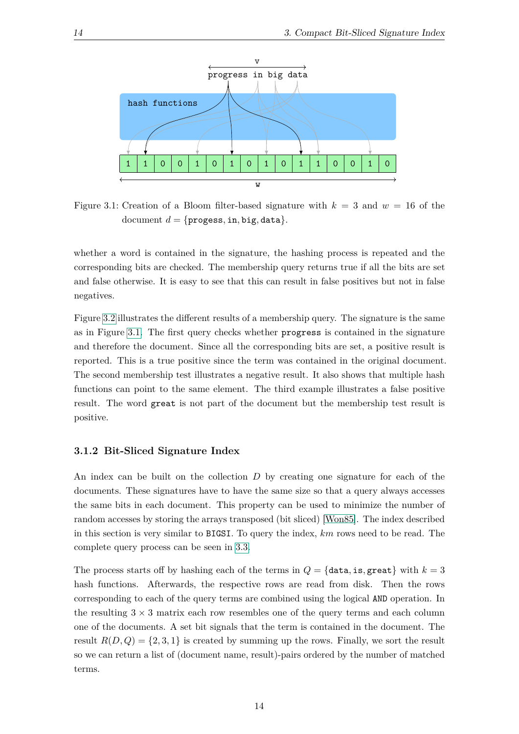<span id="page-23-1"></span>

Figure 3.1: Creation of a Bloom filter-based signature with  $k = 3$  and  $w = 16$  of the document  $d = \{$ progess, in, big, data $\}$ .

whether a word is contained in the signature, the hashing process is repeated and the corresponding bits are checked. The membership query returns true if all the bits are set and false otherwise. It is easy to see that this can result in false positives but not in false negatives.

Figure [3.2](#page-24-0) illustrates the different results of a membership query. The signature is the same as in Figure [3.1.](#page-23-1) The first query checks whether progress is contained in the signature and therefore the document. Since all the corresponding bits are set, a positive result is reported. This is a true positive since the term was contained in the original document. The second membership test illustrates a negative result. It also shows that multiple hash functions can point to the same element. The third example illustrates a false positive result. The word great is not part of the document but the membership test result is positive.

#### <span id="page-23-0"></span>**3.1.2 Bit-Sliced Signature Index**

An index can be built on the collection *D* by creating one signature for each of the documents. These signatures have to have the same size so that a query always accesses the same bits in each document. This property can be used to minimize the number of random accesses by storing the arrays transposed (bit sliced) [\[Won85\]](#page-62-12). The index described in this section is very similar to BIGSI. To query the index, *km* rows need to be read. The complete query process can be seen in [3.3.](#page-25-0)

The process starts off by hashing each of the terms in  $Q = \{data, is, great\}$  with  $k = 3$ hash functions. Afterwards, the respective rows are read from disk. Then the rows corresponding to each of the query terms are combined using the logical AND operation. In the resulting  $3 \times 3$  matrix each row resembles one of the query terms and each column one of the documents. A set bit signals that the term is contained in the document. The result  $R(D,Q) = \{2,3,1\}$  is created by summing up the rows. Finally, we sort the result so we can return a list of (document name, result)-pairs ordered by the number of matched terms.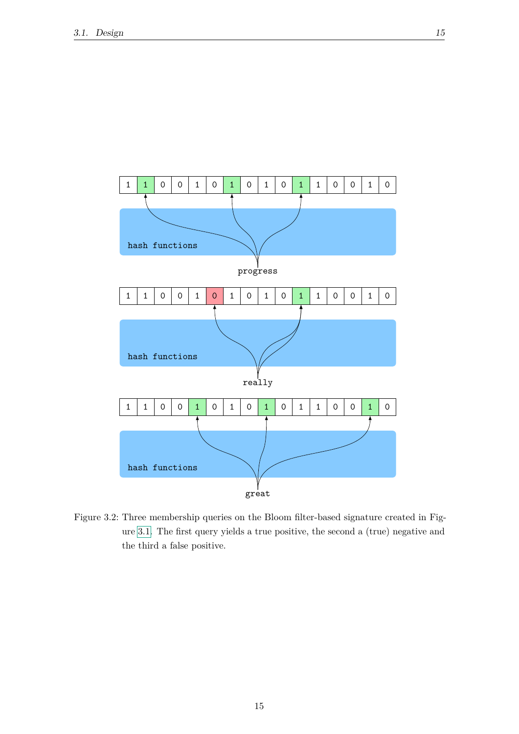<span id="page-24-0"></span>

Figure 3.2: Three membership queries on the Bloom filter-based signature created in Figure [3.1.](#page-23-1) The first query yields a true positive, the second a (true) negative and the third a false positive.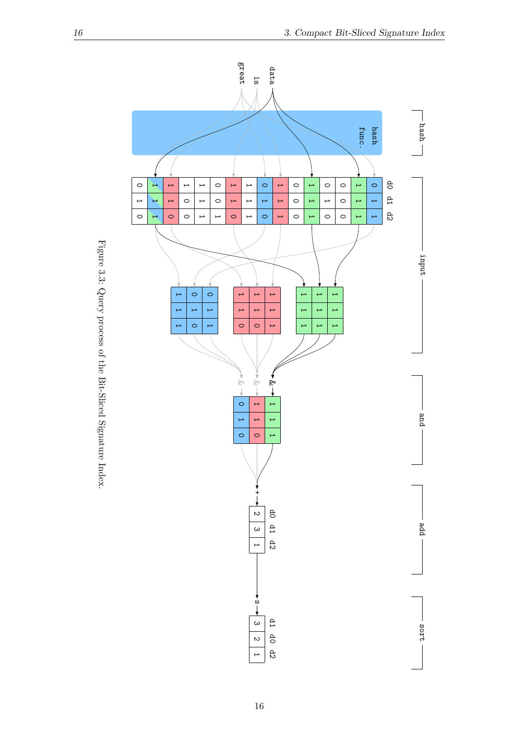<span id="page-25-0"></span>

Figure 3.3: Query process of the Bit-Sliced Signature Index. Figure 3.3: Query process of the Bit-Sliced Signature Index.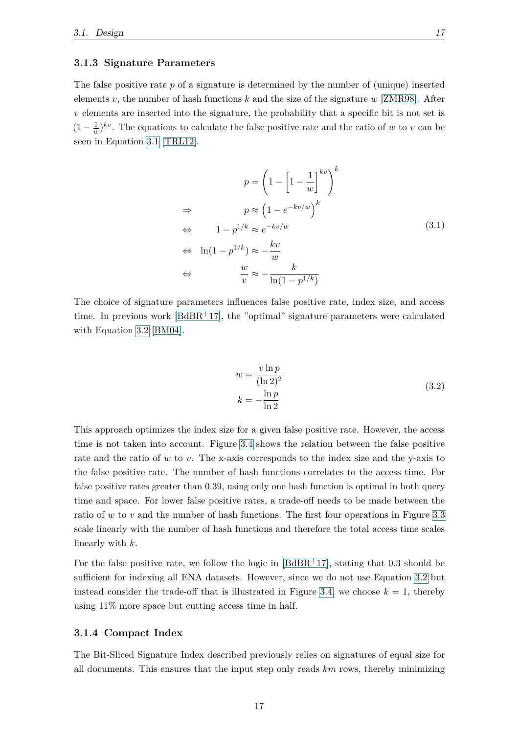#### <span id="page-26-0"></span>**3.1.3 Signature Parameters**

<span id="page-26-2"></span>The false positive rate *p* of a signature is determined by the number of (unique) inserted elements *v*, the number of hash functions *k* and the size of the signature *w* [\[ZMR98\]](#page-62-11). After *v* elements are inserted into the signature, the probability that a specific bit is not set is  $(1 - \frac{1}{u})$  $\frac{1}{w}$ <sup>*kv*</sup>. The equations to calculate the false positive rate and the ratio of *w* to *v* can be seen in Equation [3.1](#page-26-2) [\[TRL12\]](#page-62-10).

$$
p = \left(1 - \left[1 - \frac{1}{w}\right]^{kv}\right)^k
$$
  
\n
$$
\Rightarrow \qquad p \approx \left(1 - e^{-kv/w}\right)^k
$$
  
\n
$$
\Leftrightarrow \qquad 1 - p^{1/k} \approx e^{-kv/w}
$$
  
\n
$$
\Leftrightarrow \qquad \ln(1 - p^{1/k}) \approx -\frac{kv}{w}
$$
  
\n
$$
\Leftrightarrow \qquad \frac{w}{v} \approx -\frac{k}{\ln(1 - p^{1/k})}
$$
\n(3.1)

<span id="page-26-3"></span>The choice of signature parameters influences false positive rate, index size, and access time. In previous work  $[BdBR<sup>+</sup>17]$  $[BdBR<sup>+</sup>17]$ , the "optimal" signature parameters were calculated with Equation [3.2](#page-26-3) [\[BM04\]](#page-60-11).

$$
w = \frac{v \ln p}{(\ln 2)^2}
$$
  

$$
k = -\frac{\ln p}{\ln 2}
$$
 (3.2)

This approach optimizes the index size for a given false positive rate. However, the access time is not taken into account. Figure [3.4](#page-27-0) shows the relation between the false positive rate and the ratio of *w* to *v*. The x-axis corresponds to the index size and the y-axis to the false positive rate. The number of hash functions correlates to the access time. For false positive rates greater than 0.39, using only one hash function is optimal in both query time and space. For lower false positive rates, a trade-off needs to be made between the ratio of *w* to *v* and the number of hash functions. The first four operations in Figure [3.3](#page-25-0) scale linearly with the number of hash functions and therefore the total access time scales linearly with *k*.

For the false positive rate, we follow the logic in  $[BdBR<sup>+</sup>17]$  $[BdBR<sup>+</sup>17]$ , stating that 0.3 should be sufficient for indexing all ENA datasets. However, since we do not use Equation [3.2](#page-26-3) but instead consider the trade-off that is illustrated in Figure [3.4,](#page-27-0) we choose  $k = 1$ , thereby using 11% more space but cutting access time in half.

#### <span id="page-26-1"></span>**3.1.4 Compact Index**

The Bit-Sliced Signature Index described previously relies on signatures of equal size for all documents. This ensures that the input step only reads *km* rows, thereby minimizing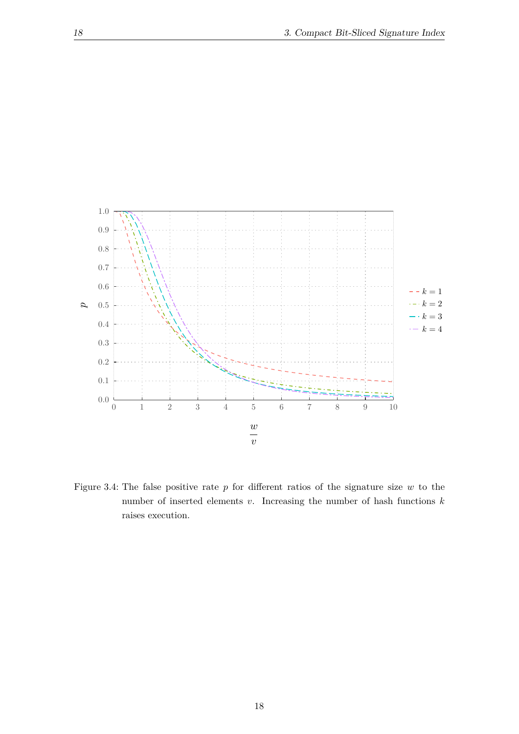<span id="page-27-0"></span>

Figure 3.4: The false positive rate *p* for different ratios of the signature size *w* to the number of inserted elements *v*. Increasing the number of hash functions *k* raises execution.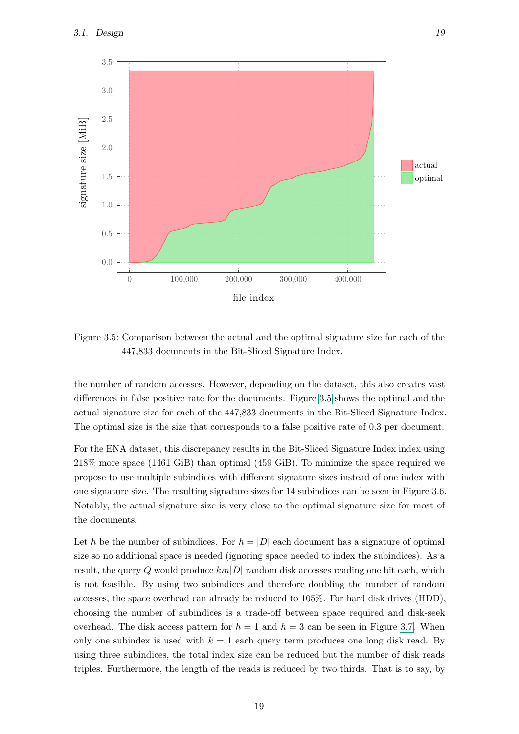<span id="page-28-0"></span>

Figure 3.5: Comparison between the actual and the optimal signature size for each of the 447,833 documents in the Bit-Sliced Signature Index.

the number of random accesses. However, depending on the dataset, this also creates vast differences in false positive rate for the documents. Figure [3.5](#page-28-0) shows the optimal and the actual signature size for each of the 447,833 documents in the Bit-Sliced Signature Index. The optimal size is the size that corresponds to a false positive rate of 0.3 per document.

For the ENA dataset, this discrepancy results in the Bit-Sliced Signature Index index using 218% more space (1461 GiB) than optimal (459 GiB). To minimize the space required we propose to use multiple subindices with different signature sizes instead of one index with one signature size. The resulting signature sizes for 14 subindices can be seen in Figure [3.6.](#page-29-0) Notably, the actual signature size is very close to the optimal signature size for most of the documents.

Let *h* be the number of subindices. For  $h = |D|$  each document has a signature of optimal size so no additional space is needed (ignoring space needed to index the subindices). As a result, the query *Q* would produce *km*|*D*| random disk accesses reading one bit each, which is not feasible. By using two subindices and therefore doubling the number of random accesses, the space overhead can already be reduced to 105%. For hard disk drives (HDD), choosing the number of subindices is a trade-off between space required and disk-seek overhead. The disk access pattern for  $h = 1$  and  $h = 3$  can be seen in Figure [3.7.](#page-30-1) When only one subindex is used with  $k = 1$  each query term produces one long disk read. By using three subindices, the total index size can be reduced but the number of disk reads triples. Furthermore, the length of the reads is reduced by two thirds. That is to say, by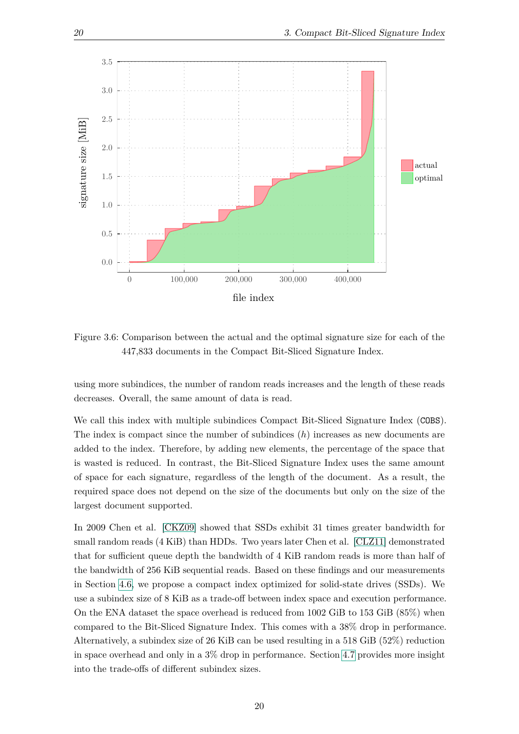<span id="page-29-0"></span>

Figure 3.6: Comparison between the actual and the optimal signature size for each of the 447,833 documents in the Compact Bit-Sliced Signature Index.

using more subindices, the number of random reads increases and the length of these reads decreases. Overall, the same amount of data is read.

We call this index with multiple subindices Compact Bit-Sliced Signature Index (COBS). The index is compact since the number of subindices (*h*) increases as new documents are added to the index. Therefore, by adding new elements, the percentage of the space that is wasted is reduced. In contrast, the Bit-Sliced Signature Index uses the same amount of space for each signature, regardless of the length of the document. As a result, the required space does not depend on the size of the documents but only on the size of the largest document supported.

In 2009 Chen et al. [\[CKZ09\]](#page-60-12) showed that SSDs exhibit 31 times greater bandwidth for small random reads (4 KiB) than HDDs. Two years later Chen et al. [\[CLZ11\]](#page-60-13) demonstrated that for sufficient queue depth the bandwidth of 4 KiB random reads is more than half of the bandwidth of 256 KiB sequential reads. Based on these findings and our measurements in Section [4.6,](#page-42-1) we propose a compact index optimized for solid-state drives (SSDs). We use a subindex size of 8 KiB as a trade-off between index space and execution performance. On the ENA dataset the space overhead is reduced from 1002 GiB to 153 GiB (85%) when compared to the Bit-Sliced Signature Index. This comes with a 38% drop in performance. Alternatively, a subindex size of 26 KiB can be used resulting in a 518 GiB (52%) reduction in space overhead and only in a 3% drop in performance. Section [4.7](#page-44-0) provides more insight into the trade-offs of different subindex sizes.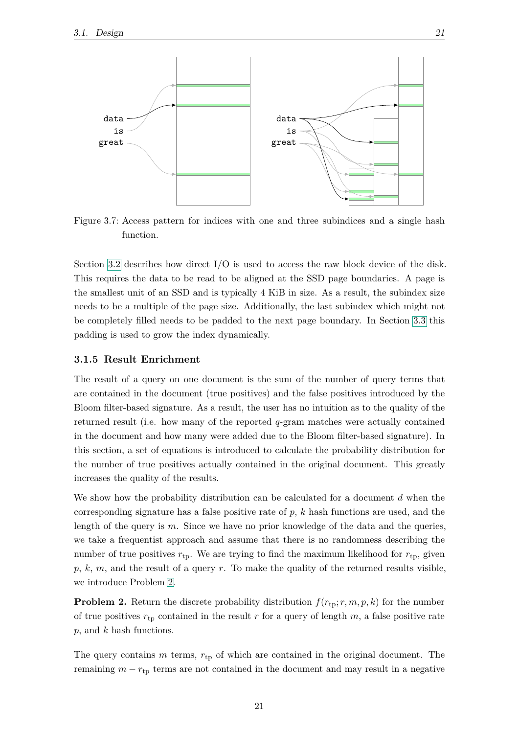<span id="page-30-1"></span>

Figure 3.7: Access pattern for indices with one and three subindices and a single hash function.

Section [3.2](#page-34-0) describes how direct I/O is used to access the raw block device of the disk. This requires the data to be read to be aligned at the SSD page boundaries. A page is the smallest unit of an SSD and is typically 4 KiB in size. As a result, the subindex size needs to be a multiple of the page size. Additionally, the last subindex which might not be completely filled needs to be padded to the next page boundary. In Section [3.3](#page-35-1) this padding is used to grow the index dynamically.

#### <span id="page-30-0"></span>**3.1.5 Result Enrichment**

The result of a query on one document is the sum of the number of query terms that are contained in the document (true positives) and the false positives introduced by the Bloom filter-based signature. As a result, the user has no intuition as to the quality of the returned result (i.e. how many of the reported *q*-gram matches were actually contained in the document and how many were added due to the Bloom filter-based signature). In this section, a set of equations is introduced to calculate the probability distribution for the number of true positives actually contained in the original document. This greatly increases the quality of the results.

We show how the probability distribution can be calculated for a document *d* when the corresponding signature has a false positive rate of *p*, *k* hash functions are used, and the length of the query is *m*. Since we have no prior knowledge of the data and the queries, we take a frequentist approach and assume that there is no randomness describing the number of true positives  $r_{tp}$ . We are trying to find the maximum likelihood for  $r_{tp}$ , given *p*, *k*, *m*, and the result of a query *r*. To make the quality of the returned results visible, we introduce Problem [2.](#page-30-2)

<span id="page-30-2"></span>**Problem 2.** Return the discrete probability distribution  $f(r_{\text{tp}}; r, m, p, k)$  for the number of true positives  $r_{tp}$  contained in the result r for a query of length  $m$ , a false positive rate *p*, and *k* hash functions.

The query contains *m* terms,  $r_{tp}$  of which are contained in the original document. The remaining  $m - r_{\text{tp}}$  terms are not contained in the document and may result in a negative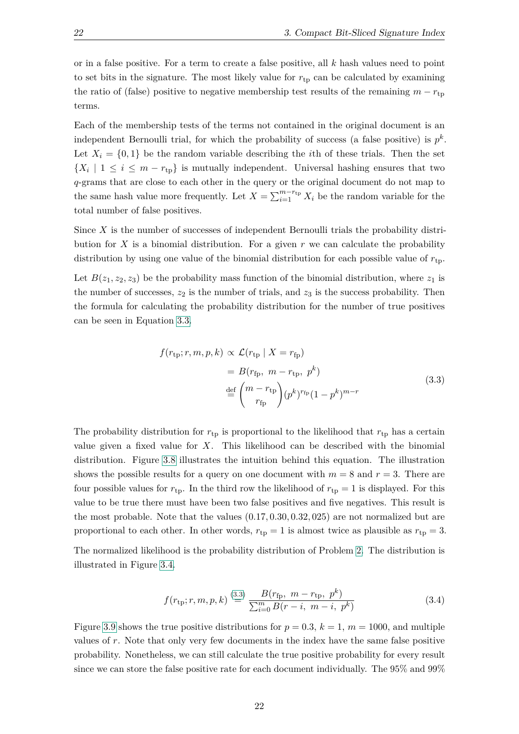or in a false positive. For a term to create a false positive, all *k* hash values need to point to set bits in the signature. The most likely value for  $r_{\text{tp}}$  can be calculated by examining the ratio of (false) positive to negative membership test results of the remaining  $m - r_{tp}$ terms.

Each of the membership tests of the terms not contained in the original document is an independent Bernoulli trial, for which the probability of success (a false positive) is  $p^k$ . Let  $X_i = \{0,1\}$  be the random variable describing the *i*th of these trials. Then the set  ${X_i \mid 1 \leq i \leq m-r_{tp}}$  is mutually independent. Universal hashing ensures that two *q*-grams that are close to each other in the query or the original document do not map to the same hash value more frequently. Let  $X = \sum_{i=1}^{m-r_{\text{tp}}} X_i$  be the random variable for the total number of false positives.

Since *X* is the number of successes of independent Bernoulli trials the probability distribution for  $X$  is a binomial distribution. For a given  $r$  we can calculate the probability distribution by using one value of the binomial distribution for each possible value of *r*tp.

<span id="page-31-0"></span>Let  $B(z_1, z_2, z_3)$  be the probability mass function of the binomial distribution, where  $z_1$  is the number of successes,  $z_2$  is the number of trials, and  $z_3$  is the success probability. Then the formula for calculating the probability distribution for the number of true positives can be seen in Equation [3.3.](#page-31-0)

$$
f(r_{\text{tp}}; r, m, p, k) \propto \mathcal{L}(r_{\text{tp}} \mid X = r_{\text{fp}})
$$
  
=  $B(r_{\text{fp}}, m - r_{\text{tp}}, p^k)$   

$$
\stackrel{\text{def}}{=} \binom{m - r_{\text{tp}}}{r_{\text{fp}}} (p^k)^{r_{\text{fp}}} (1 - p^k)^{m - r}
$$
 (3.3)

The probability distribution for  $r_{tp}$  is proportional to the likelihood that  $r_{tp}$  has a certain value given a fixed value for *X*. This likelihood can be described with the binomial distribution. Figure [3.8](#page-32-1) illustrates the intuition behind this equation. The illustration shows the possible results for a query on one document with  $m = 8$  and  $r = 3$ . There are four possible values for  $r_{tp}$ . In the third row the likelihood of  $r_{tp} = 1$  is displayed. For this value to be true there must have been two false positives and five negatives. This result is the most probable. Note that the values (0*.*17*,* 0*.*30*,* 0*.*32*,* 025) are not normalized but are proportional to each other. In other words,  $r_{tp} = 1$  is almost twice as plausible as  $r_{tp} = 3$ .

<span id="page-31-1"></span>The normalized likelihood is the probability distribution of Problem [2.](#page-30-2) The distribution is illustrated in Figure [3.4.](#page-31-1)

$$
f(r_{\rm tp}; r, m, p, k) \stackrel{(3.3)}{=} \frac{B(r_{\rm fp}, m - r_{\rm tp}, p^k)}{\sum_{i=0}^m B(r - i, m - i, p^k)}
$$
(3.4)

Figure [3.9](#page-33-0) shows the true positive distributions for  $p = 0.3$ ,  $k = 1$ ,  $m = 1000$ , and multiple values of *r*. Note that only very few documents in the index have the same false positive probability. Nonetheless, we can still calculate the true positive probability for every result since we can store the false positive rate for each document individually. The 95% and 99%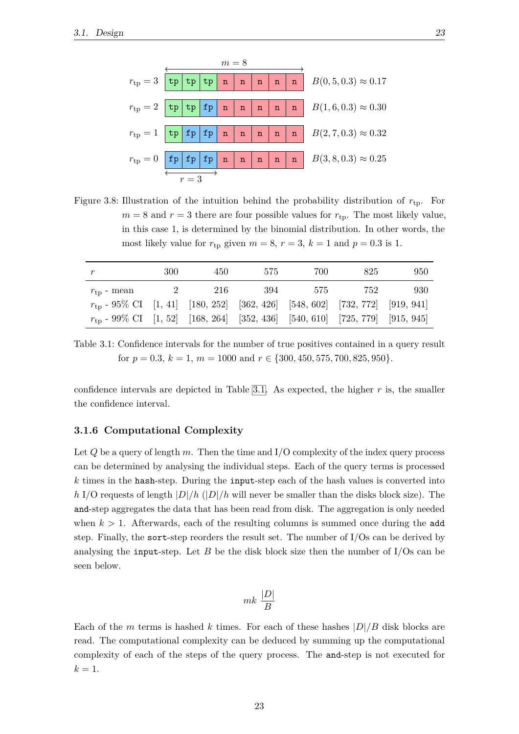<span id="page-32-1"></span>

Figure 3.8: Illustration of the intuition behind the probability distribution of *r*tp. For  $m = 8$  and  $r = 3$  there are four possible values for  $r_{tp}$ . The most likely value, in this case 1, is determined by the binomial distribution. In other words, the most likely value for  $r_{tp}$  given  $m = 8$ ,  $r = 3$ ,  $k = 1$  and  $p = 0.3$  is 1.

<span id="page-32-2"></span>

| r                                                                                    | 300 | 450 | 575 | 700 | 825 | 950 |
|--------------------------------------------------------------------------------------|-----|-----|-----|-----|-----|-----|
| $r_{\rm to}$ - mean                                                                  |     | 216 | 394 | 575 | 752 | 930 |
| $r_{\rm to}$ - 95% CI [1, 41] [180, 252] [362, 426] [548, 602] [732, 772] [919, 941] |     |     |     |     |     |     |
| $r_{\rm tp}$ - 99% CI [1, 52] [168, 264] [352, 436] [540, 610] [725, 779] [915, 945] |     |     |     |     |     |     |

Table 3.1: Confidence intervals for the number of true positives contained in a query result for  $p = 0.3, k = 1, m = 1000$  and  $r \in \{300, 450, 575, 700, 825, 950\}.$ 

confidence intervals are depicted in Table [3.1.](#page-32-2) As expected, the higher *r* is, the smaller the confidence interval.

#### <span id="page-32-0"></span>**3.1.6 Computational Complexity**

Let *Q* be a query of length *m*. Then the time and I/O complexity of the index query process can be determined by analysing the individual steps. Each of the query terms is processed *k* times in the hash-step. During the input-step each of the hash values is converted into *h* I/O requests of length |*D*|*/h* (|*D*|*/h* will never be smaller than the disks block size). The and-step aggregates the data that has been read from disk. The aggregation is only needed when  $k > 1$ . Afterwards, each of the resulting columns is summed once during the add step. Finally, the sort-step reorders the result set. The number of I/Os can be derived by analysing the input-step. Let *B* be the disk block size then the number of  $I/Os$  can be seen below.

$$
mk\ \frac{|D|}{B}
$$

Each of the *m* terms is hashed *k* times. For each of these hashes  $|D|/B$  disk blocks are read. The computational complexity can be deduced by summing up the computational complexity of each of the steps of the query process. The and-step is not executed for  $k=1$ .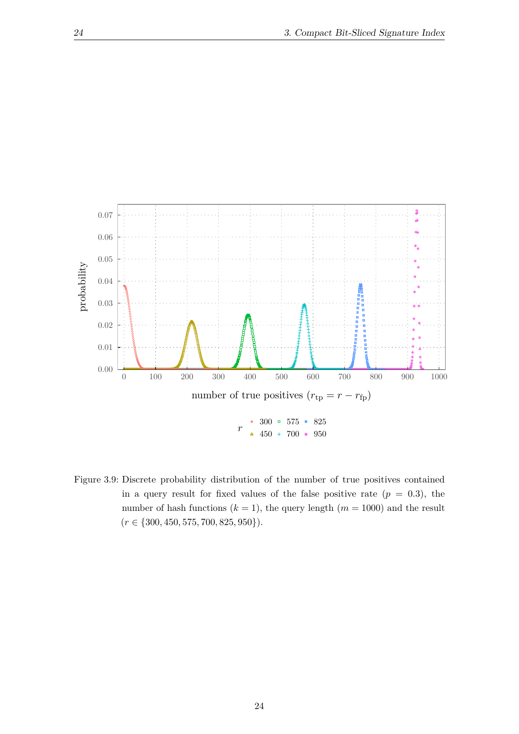<span id="page-33-0"></span>

Figure 3.9: Discrete probability distribution of the number of true positives contained in a query result for fixed values of the false positive rate  $(p = 0.3)$ , the number of hash functions  $(k = 1)$ , the query length  $(m = 1000)$  and the result (*r* ∈ {300*,* 450*,* 575*,* 700*,* 825*,* 950}).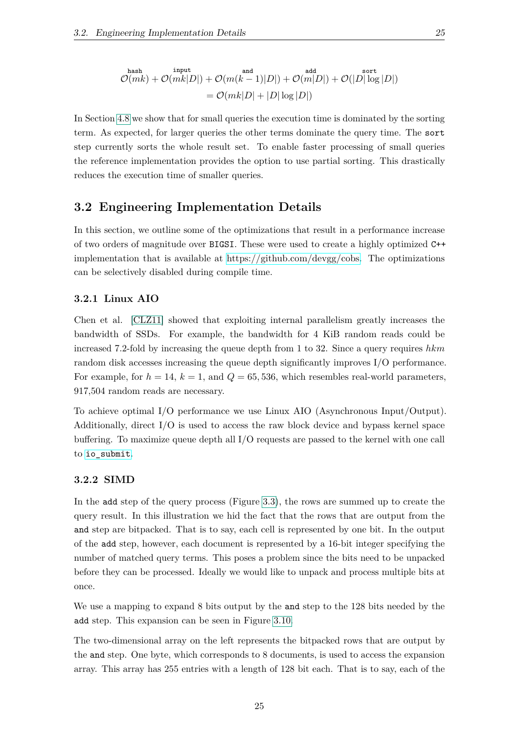$$
\mathcal{O}(mk) + \mathcal{O}(mk|D|) + \mathcal{O}(m(k-1)|D|) + \mathcal{O}(m|D|) + \mathcal{O}(|D| \log |D|)
$$
  
= 
$$
\mathcal{O}(mk|D| + |D| \log |D|)
$$

In Section [4.8](#page-47-0) we show that for small queries the execution time is dominated by the sorting term. As expected, for larger queries the other terms dominate the query time. The sort step currently sorts the whole result set. To enable faster processing of small queries the reference implementation provides the option to use partial sorting. This drastically reduces the execution time of smaller queries.

#### <span id="page-34-0"></span>**3.2 Engineering Implementation Details**

In this section, we outline some of the optimizations that result in a performance increase of two orders of magnitude over BIGSI. These were used to create a highly optimized C++ implementation that is available at [https://github.com/devgg/cobs.](https://github.com/devgg/isi) The optimizations can be selectively disabled during compile time.

#### <span id="page-34-1"></span>**3.2.1 Linux AIO**

Chen et al. [\[CLZ11\]](#page-60-13) showed that exploiting internal parallelism greatly increases the bandwidth of SSDs. For example, the bandwidth for 4 KiB random reads could be increased 7.2-fold by increasing the queue depth from 1 to 32. Since a query requires *hkm* random disk accesses increasing the queue depth significantly improves I/O performance. For example, for  $h = 14$ ,  $k = 1$ , and  $Q = 65,536$ , which resembles real-world parameters, 917,504 random reads are necessary.

To achieve optimal I/O performance we use Linux AIO (Asynchronous Input/Output). Additionally, direct I/O is used to access the raw block device and bypass kernel space buffering. To maximize queue depth all I/O requests are passed to the kernel with one call to [io\\_submit](http://man7.org/linux/man-pages/man2/io_submit.2.html).

#### <span id="page-34-2"></span>**3.2.2 SIMD**

In the add step of the query process (Figure [3.3\)](#page-25-0), the rows are summed up to create the query result. In this illustration we hid the fact that the rows that are output from the and step are bitpacked. That is to say, each cell is represented by one bit. In the output of the add step, however, each document is represented by a 16-bit integer specifying the number of matched query terms. This poses a problem since the bits need to be unpacked before they can be processed. Ideally we would like to unpack and process multiple bits at once.

We use a mapping to expand 8 bits output by the and step to the 128 bits needed by the add step. This expansion can be seen in Figure [3.10.](#page-35-2)

The two-dimensional array on the left represents the bitpacked rows that are output by the and step. One byte, which corresponds to 8 documents, is used to access the expansion array. This array has 255 entries with a length of 128 bit each. That is to say, each of the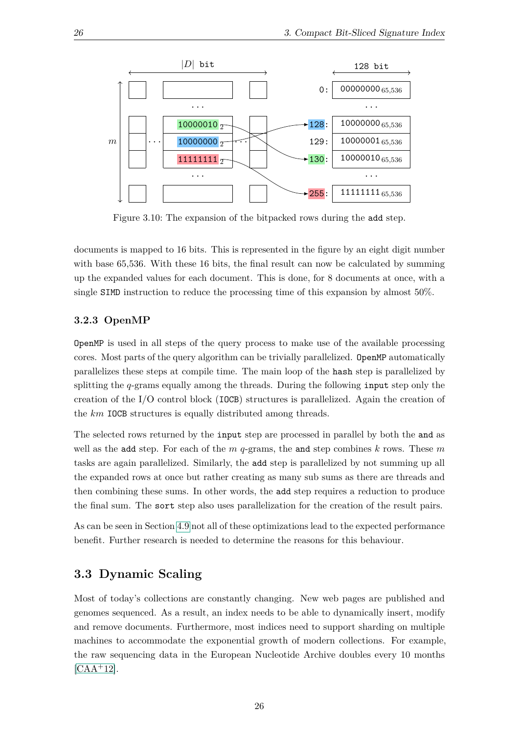<span id="page-35-2"></span>

Figure 3.10: The expansion of the bitpacked rows during the add step.

documents is mapped to 16 bits. This is represented in the figure by an eight digit number with base 65,536. With these 16 bits, the final result can now be calculated by summing up the expanded values for each document. This is done, for 8 documents at once, with a single SIMD instruction to reduce the processing time of this expansion by almost 50%.

#### <span id="page-35-0"></span>**3.2.3 OpenMP**

OpenMP is used in all steps of the query process to make use of the available processing cores. Most parts of the query algorithm can be trivially parallelized. OpenMP automatically parallelizes these steps at compile time. The main loop of the hash step is parallelized by splitting the *q*-grams equally among the threads. During the following input step only the creation of the I/O control block (IOCB) structures is parallelized. Again the creation of the *km* IOCB structures is equally distributed among threads.

The selected rows returned by the input step are processed in parallel by both the and as well as the add step. For each of the *m q*-grams, the and step combines *k* rows. These *m* tasks are again parallelized. Similarly, the add step is parallelized by not summing up all the expanded rows at once but rather creating as many sub sums as there are threads and then combining these sums. In other words, the add step requires a reduction to produce the final sum. The sort step also uses parallelization for the creation of the result pairs.

As can be seen in Section [4.9](#page-49-0) not all of these optimizations lead to the expected performance benefit. Further research is needed to determine the reasons for this behaviour.

#### <span id="page-35-1"></span>**3.3 Dynamic Scaling**

Most of today's collections are constantly changing. New web pages are published and genomes sequenced. As a result, an index needs to be able to dynamically insert, modify and remove documents. Furthermore, most indices need to support sharding on multiple machines to accommodate the exponential growth of modern collections. For example, the raw sequencing data in the European Nucleotide Archive doubles every 10 months  $[CAA+12]$  $[CAA+12]$ .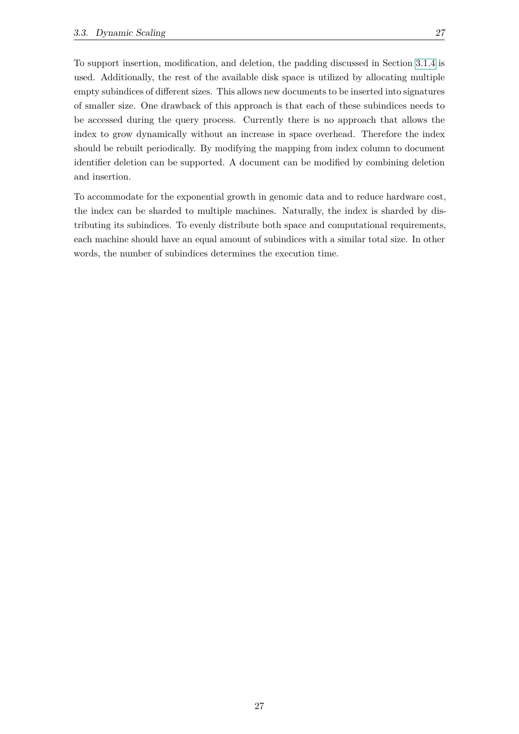To support insertion, modification, and deletion, the padding discussed in Section [3.1.4](#page-26-1) is used. Additionally, the rest of the available disk space is utilized by allocating multiple empty subindices of different sizes. This allows new documents to be inserted into signatures of smaller size. One drawback of this approach is that each of these subindices needs to be accessed during the query process. Currently there is no approach that allows the index to grow dynamically without an increase in space overhead. Therefore the index should be rebuilt periodically. By modifying the mapping from index column to document identifier deletion can be supported. A document can be modified by combining deletion and insertion.

To accommodate for the exponential growth in genomic data and to reduce hardware cost, the index can be sharded to multiple machines. Naturally, the index is sharded by distributing its subindices. To evenly distribute both space and computational requirements, each machine should have an equal amount of subindices with a similar total size. In other words, the number of subindices determines the execution time.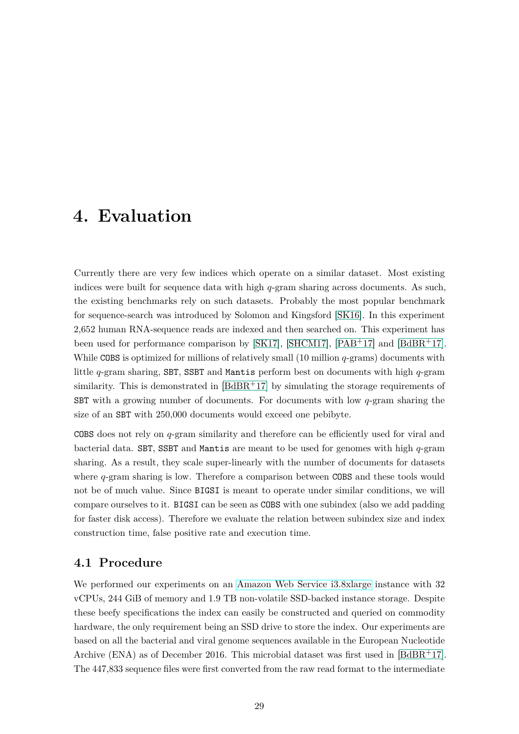### <span id="page-38-0"></span>**4. Evaluation**

Currently there are very few indices which operate on a similar dataset. Most existing indices were built for sequence data with high *q*-gram sharing across documents. As such, the existing benchmarks rely on such datasets. Probably the most popular benchmark for sequence-search was introduced by Solomon and Kingsford [\[SK16\]](#page-62-2). In this experiment 2,652 human RNA-sequence reads are indexed and then searched on. This experiment has been used for performance comparison by [\[SK17\]](#page-62-3), [\[SHCM17\]](#page-62-4), [\[PAB](#page-61-2)<sup>+</sup>17] and [\[BdBR](#page-60-0)<sup>+</sup>17]. While COBS is optimized for millions of relatively small (10 million *q*-grams) documents with little *q*-gram sharing, SBT, SSBT and Mantis perform best on documents with high *q*-gram similarity. This is demonstrated in  $[BdBR+17]$  $[BdBR+17]$  by simulating the storage requirements of SBT with a growing number of documents. For documents with low *q*-gram sharing the size of an SBT with 250,000 documents would exceed one pebibyte.

COBS does not rely on *q*-gram similarity and therefore can be efficiently used for viral and bacterial data. SBT, SSBT and Mantis are meant to be used for genomes with high *q*-gram sharing. As a result, they scale super-linearly with the number of documents for datasets where *q*-gram sharing is low. Therefore a comparison between COBS and these tools would not be of much value. Since BIGSI is meant to operate under similar conditions, we will compare ourselves to it. BIGSI can be seen as COBS with one subindex (also we add padding for faster disk access). Therefore we evaluate the relation between subindex size and index construction time, false positive rate and execution time.

#### <span id="page-38-1"></span>**4.1 Procedure**

We performed our experiments on an [Amazon Web Service i3.8xlarge](https://aws.amazon.com/ec2/instance-types/) instance with 32 vCPUs, 244 GiB of memory and 1.9 TB non-volatile SSD-backed instance storage. Despite these beefy specifications the index can easily be constructed and queried on commodity hardware, the only requirement being an SSD drive to store the index. Our experiments are based on all the bacterial and viral genome sequences available in the European Nucleotide Archive (ENA) as of December 2016. This microbial dataset was first used in [\[BdBR](#page-60-0)<sup>+</sup>17]. The 447,833 sequence files were first converted from the raw read format to the intermediate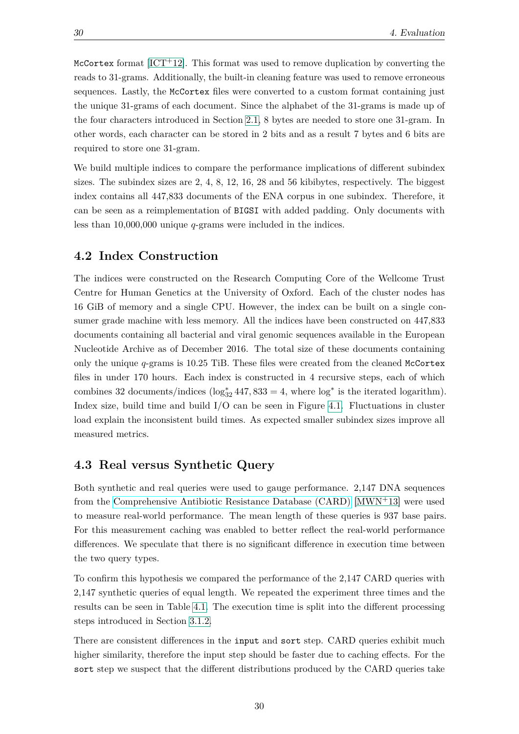McCortex format  $[ICT+12]$  $[ICT+12]$ . This format was used to remove duplication by converting the reads to 31-grams. Additionally, the built-in cleaning feature was used to remove erroneous sequences. Lastly, the McCortex files were converted to a custom format containing just the unique 31-grams of each document. Since the alphabet of the 31-grams is made up of the four characters introduced in Section [2.1,](#page-14-1) 8 bytes are needed to store one 31-gram. In other words, each character can be stored in 2 bits and as a result 7 bytes and 6 bits are required to store one 31-gram.

We build multiple indices to compare the performance implications of different subindex sizes. The subindex sizes are 2, 4, 8, 12, 16, 28 and 56 kibibytes, respectively. The biggest index contains all 447,833 documents of the ENA corpus in one subindex. Therefore, it can be seen as a reimplementation of BIGSI with added padding. Only documents with less than 10,000,000 unique *q*-grams were included in the indices.

#### <span id="page-39-0"></span>**4.2 Index Construction**

The indices were constructed on the Research Computing Core of the Wellcome Trust Centre for Human Genetics at the University of Oxford. Each of the cluster nodes has 16 GiB of memory and a single CPU. However, the index can be built on a single consumer grade machine with less memory. All the indices have been constructed on 447,833 documents containing all bacterial and viral genomic sequences available in the European Nucleotide Archive as of December 2016. The total size of these documents containing only the unique *q*-grams is 10.25 TiB. These files were created from the cleaned McCortex files in under 170 hours. Each index is constructed in 4 recursive steps, each of which combines 32 documents/indices  $(\log_{32}^* 447, 833 = 4$ , where  $\log^*$  is the iterated logarithm). Index size, build time and build  $I/O$  can be seen in Figure [4.1.](#page-40-0) Fluctuations in cluster load explain the inconsistent build times. As expected smaller subindex sizes improve all measured metrics.

#### <span id="page-39-1"></span>**4.3 Real versus Synthetic Query**

Both synthetic and real queries were used to gauge performance. 2,147 DNA sequences from the [Comprehensive Antibiotic Resistance Database \(CARD\)](https://card.mcmaster.ca/) [\[MWN](#page-61-15)+13] were used to measure real-world performance. The mean length of these queries is 937 base pairs. For this measurement caching was enabled to better reflect the real-world performance differences. We speculate that there is no significant difference in execution time between the two query types.

To confirm this hypothesis we compared the performance of the 2,147 CARD queries with 2,147 synthetic queries of equal length. We repeated the experiment three times and the results can be seen in Table [4.1.](#page-40-1) The execution time is split into the different processing steps introduced in Section [3.1.2.](#page-23-0)

There are consistent differences in the input and sort step. CARD queries exhibit much higher similarity, therefore the input step should be faster due to caching effects. For the sort step we suspect that the different distributions produced by the CARD queries take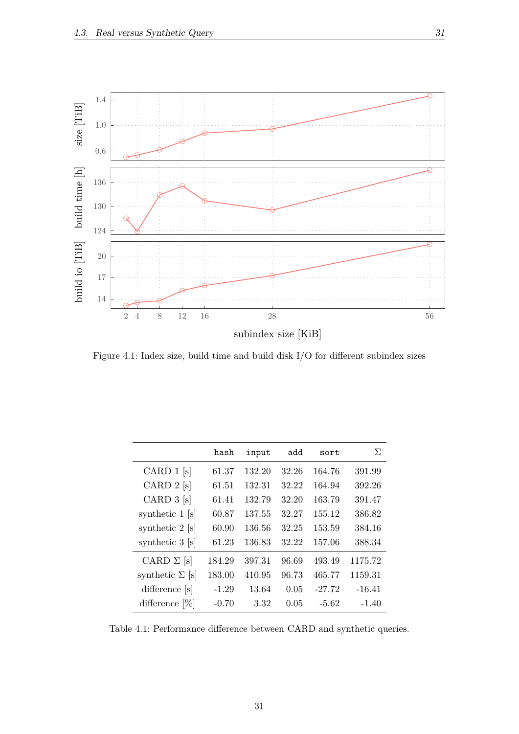<span id="page-40-0"></span>

Figure 4.1: Index size, build time and build disk I/O for different subindex sizes

<span id="page-40-1"></span>

|                           | hash    | input  | add   | sort     | Σ        |
|---------------------------|---------|--------|-------|----------|----------|
| CARD $1$ [s]              | 61.37   | 132.20 | 32.26 | 164.76   | 391.99   |
| CARD $2$ [s]              | 61.51   | 132.31 | 32.22 | 164.94   | 392.26   |
| CARD $3$ [s]              | 61.41   | 132.79 | 32.20 | 163.79   | 391.47   |
| synthetic 1 [s]           | 60.87   | 137.55 | 32.27 | 155.12   | 386.82   |
| synthetic $2 \text{ [s]}$ | 60.90   | 136.56 | 32.25 | 153.59   | 384.16   |
| synthetic 3 [s]           | 61.23   | 136.83 | 32.22 | 157.06   | 388.34   |
| CARD $\Sigma$ [s]         | 184.29  | 397.31 | 96.69 | 493.49   | 1175.72  |
| synthetic $\Sigma$ [s]    | 183.00  | 410.95 | 96.73 | 465.77   | 1159.31  |
| difference [s]            | $-1.29$ | 13.64  | 0.05  | $-27.72$ | $-16.41$ |
| difference $[\%]$         | $-0.70$ | 3.32   | 0.05  | $-5.62$  | $-1.40$  |

Table 4.1: Performance difference between CARD and synthetic queries.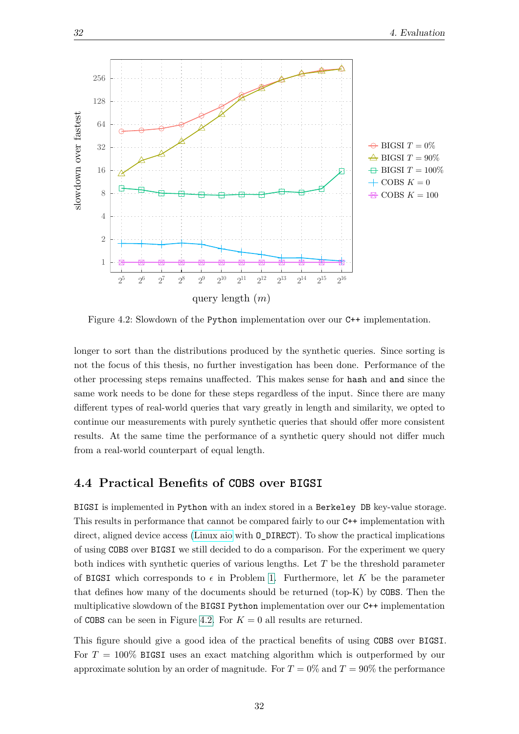<span id="page-41-1"></span>

Figure 4.2: Slowdown of the Python implementation over our C++ implementation.

longer to sort than the distributions produced by the synthetic queries. Since sorting is not the focus of this thesis, no further investigation has been done. Performance of the other processing steps remains unaffected. This makes sense for hash and and since the same work needs to be done for these steps regardless of the input. Since there are many different types of real-world queries that vary greatly in length and similarity, we opted to continue our measurements with purely synthetic queries that should offer more consistent results. At the same time the performance of a synthetic query should not differ much from a real-world counterpart of equal length.

#### <span id="page-41-0"></span>**4.4 Practical Benefits of COBS over BIGSI**

BIGSI is implemented in Python with an index stored in a Berkeley DB key-value storage. This results in performance that cannot be compared fairly to our C++ implementation with direct, aligned device access [\(Linux aio](http://man7.org/linux/man-pages/man7/aio.7.html) with O\_DIRECT). To show the practical implications of using COBS over BIGSI we still decided to do a comparison. For the experiment we query both indices with synthetic queries of various lengths. Let *T* be the threshold parameter of BIGSI which corresponds to  $\epsilon$  in Problem [1.](#page-19-1) Furthermore, let *K* be the parameter that defines how many of the documents should be returned (top-K) by COBS. Then the multiplicative slowdown of the BIGSI Python implementation over our C++ implementation of COBS can be seen in Figure [4.2.](#page-41-1) For  $K = 0$  all results are returned.

This figure should give a good idea of the practical benefits of using COBS over BIGSI. For *T* = 100% BIGSI uses an exact matching algorithm which is outperformed by our approximate solution by an order of magnitude. For  $T = 0\%$  and  $T = 90\%$  the performance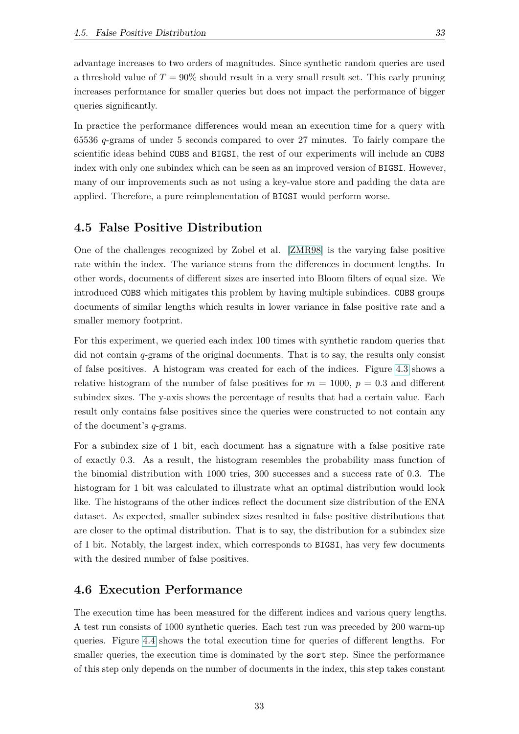advantage increases to two orders of magnitudes. Since synthetic random queries are used a threshold value of  $T = 90\%$  should result in a very small result set. This early pruning increases performance for smaller queries but does not impact the performance of bigger queries significantly.

In practice the performance differences would mean an execution time for a query with 65536 *q*-grams of under 5 seconds compared to over 27 minutes. To fairly compare the scientific ideas behind COBS and BIGSI, the rest of our experiments will include an COBS index with only one subindex which can be seen as an improved version of BIGSI. However, many of our improvements such as not using a key-value store and padding the data are applied. Therefore, a pure reimplementation of BIGSI would perform worse.

#### <span id="page-42-0"></span>**4.5 False Positive Distribution**

One of the challenges recognized by Zobel et al. [\[ZMR98\]](#page-62-11) is the varying false positive rate within the index. The variance stems from the differences in document lengths. In other words, documents of different sizes are inserted into Bloom filters of equal size. We introduced COBS which mitigates this problem by having multiple subindices. COBS groups documents of similar lengths which results in lower variance in false positive rate and a smaller memory footprint.

For this experiment, we queried each index 100 times with synthetic random queries that did not contain *q*-grams of the original documents. That is to say, the results only consist of false positives. A histogram was created for each of the indices. Figure [4.3](#page-43-0) shows a relative histogram of the number of false positives for  $m = 1000$ ,  $p = 0.3$  and different subindex sizes. The y-axis shows the percentage of results that had a certain value. Each result only contains false positives since the queries were constructed to not contain any of the document's *q*-grams.

For a subindex size of 1 bit, each document has a signature with a false positive rate of exactly 0*.*3. As a result, the histogram resembles the probability mass function of the binomial distribution with 1000 tries, 300 successes and a success rate of 0*.*3. The histogram for 1 bit was calculated to illustrate what an optimal distribution would look like. The histograms of the other indices reflect the document size distribution of the ENA dataset. As expected, smaller subindex sizes resulted in false positive distributions that are closer to the optimal distribution. That is to say, the distribution for a subindex size of 1 bit. Notably, the largest index, which corresponds to BIGSI, has very few documents with the desired number of false positives.

#### <span id="page-42-1"></span>**4.6 Execution Performance**

The execution time has been measured for the different indices and various query lengths. A test run consists of 1000 synthetic queries. Each test run was preceded by 200 warm-up queries. Figure [4.4](#page-44-1) shows the total execution time for queries of different lengths. For smaller queries, the execution time is dominated by the sort step. Since the performance of this step only depends on the number of documents in the index, this step takes constant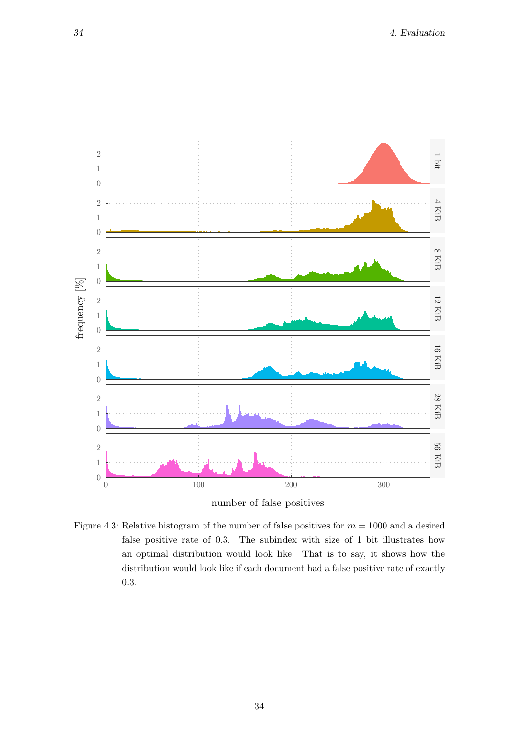<span id="page-43-0"></span>

number of false positives

Figure 4.3: Relative histogram of the number of false positives for *m* = 1000 and a desired false positive rate of 0*.*3. The subindex with size of 1 bit illustrates how an optimal distribution would look like. That is to say, it shows how the distribution would look like if each document had a false positive rate of exactly *.*3.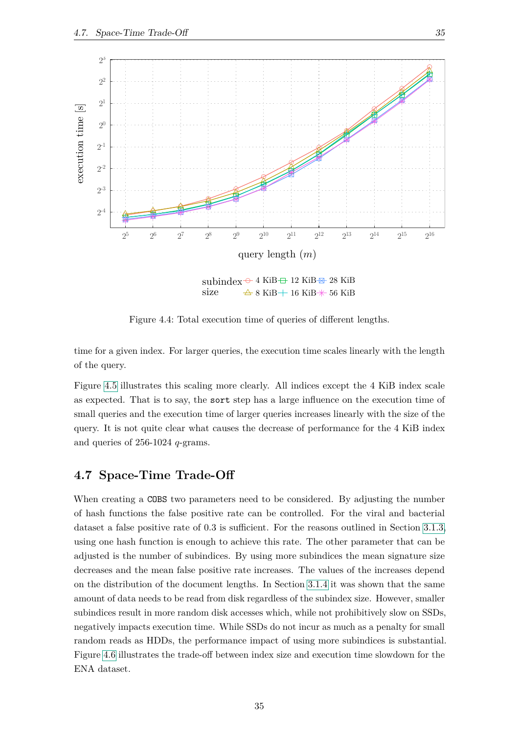<span id="page-44-1"></span>

Figure 4.4: Total execution time of queries of different lengths.

time for a given index. For larger queries, the execution time scales linearly with the length of the query.

Figure [4.5](#page-45-0) illustrates this scaling more clearly. All indices except the 4 KiB index scale as expected. That is to say, the sort step has a large influence on the execution time of small queries and the execution time of larger queries increases linearly with the size of the query. It is not quite clear what causes the decrease of performance for the 4 KiB index and queries of 256-1024 *q*-grams.

#### <span id="page-44-0"></span>**4.7 Space-Time Trade-Off**

When creating a COBS two parameters need to be considered. By adjusting the number of hash functions the false positive rate can be controlled. For the viral and bacterial dataset a false positive rate of 0.3 is sufficient. For the reasons outlined in Section [3.1.3,](#page-26-0) using one hash function is enough to achieve this rate. The other parameter that can be adjusted is the number of subindices. By using more subindices the mean signature size decreases and the mean false positive rate increases. The values of the increases depend on the distribution of the document lengths. In Section [3.1.4](#page-26-1) it was shown that the same amount of data needs to be read from disk regardless of the subindex size. However, smaller subindices result in more random disk accesses which, while not prohibitively slow on SSDs, negatively impacts execution time. While SSDs do not incur as much as a penalty for small random reads as HDDs, the performance impact of using more subindices is substantial. Figure [4.6](#page-46-0) illustrates the trade-off between index size and execution time slowdown for the ENA dataset.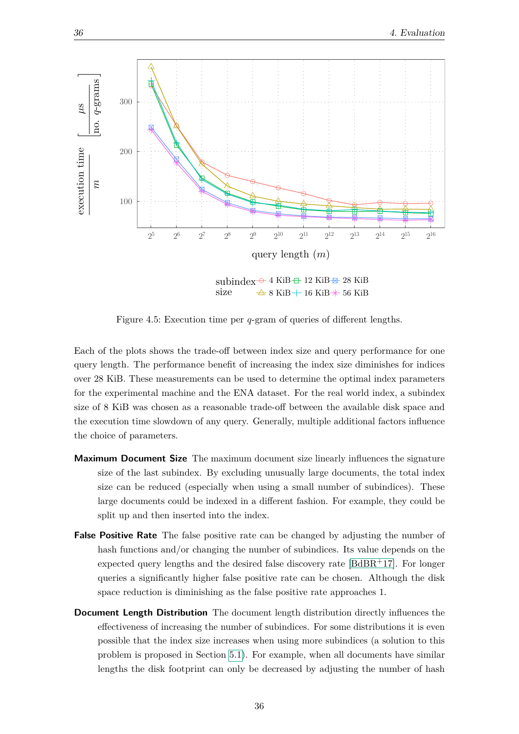<span id="page-45-0"></span>

Figure 4.5: Execution time per *q*-gram of queries of different lengths.

Each of the plots shows the trade-off between index size and query performance for one query length. The performance benefit of increasing the index size diminishes for indices over 28 KiB. These measurements can be used to determine the optimal index parameters for the experimental machine and the ENA dataset. For the real world index, a subindex size of 8 KiB was chosen as a reasonable trade-off between the available disk space and the execution time slowdown of any query. Generally, multiple additional factors influence the choice of parameters.

- **Maximum Document Size** The maximum document size linearly influences the signature size of the last subindex. By excluding unusually large documents, the total index size can be reduced (especially when using a small number of subindices). These large documents could be indexed in a different fashion. For example, they could be split up and then inserted into the index.
- **False Positive Rate** The false positive rate can be changed by adjusting the number of hash functions and/or changing the number of subindices. Its value depends on the expected query lengths and the desired false discovery rate  $[BdBR+17]$  $[BdBR+17]$ . For longer queries a significantly higher false positive rate can be chosen. Although the disk space reduction is diminishing as the false positive rate approaches 1.
- **Document Length Distribution** The document length distribution directly influences the effectiveness of increasing the number of subindices. For some distributions it is even possible that the index size increases when using more subindices (a solution to this problem is proposed in Section [5.1\)](#page-53-0). For example, when all documents have similar lengths the disk footprint can only be decreased by adjusting the number of hash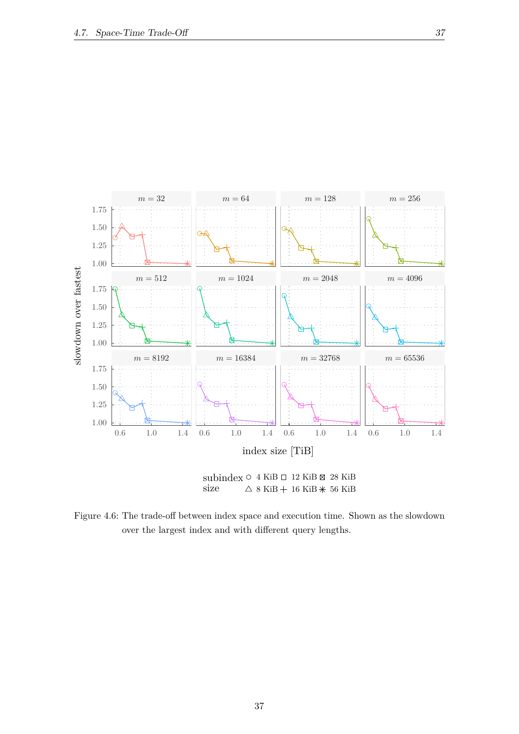<span id="page-46-0"></span>

Figure 4.6: The trade-off between index space and execution time. Shown as the slowdown over the largest index and with different query lengths.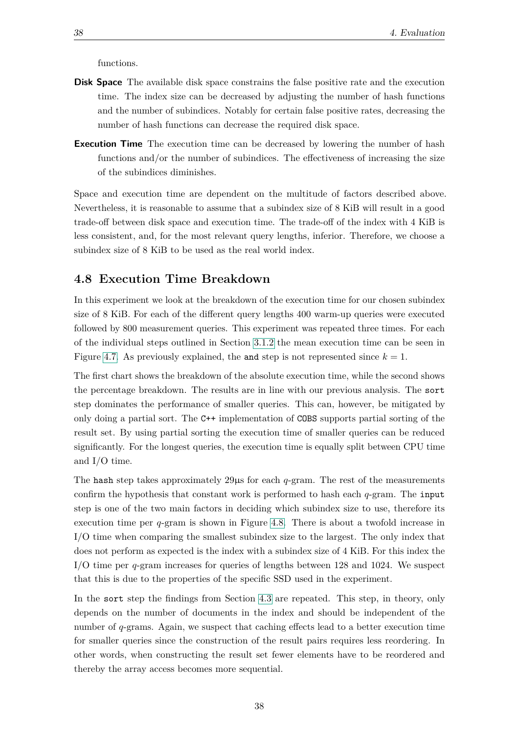functions.

- **Disk Space** The available disk space constrains the false positive rate and the execution time. The index size can be decreased by adjusting the number of hash functions and the number of subindices. Notably for certain false positive rates, decreasing the number of hash functions can decrease the required disk space.
- **Execution Time** The execution time can be decreased by lowering the number of hash functions and/or the number of subindices. The effectiveness of increasing the size of the subindices diminishes.

Space and execution time are dependent on the multitude of factors described above. Nevertheless, it is reasonable to assume that a subindex size of 8 KiB will result in a good trade-off between disk space and execution time. The trade-off of the index with 4 KiB is less consistent, and, for the most relevant query lengths, inferior. Therefore, we choose a subindex size of 8 KiB to be used as the real world index.

#### <span id="page-47-0"></span>**4.8 Execution Time Breakdown**

In this experiment we look at the breakdown of the execution time for our chosen subindex size of 8 KiB. For each of the different query lengths 400 warm-up queries were executed followed by 800 measurement queries. This experiment was repeated three times. For each of the individual steps outlined in Section [3.1.2](#page-23-0) the mean execution time can be seen in Figure [4.7.](#page-48-0) As previously explained, the and step is not represented since  $k = 1$ .

The first chart shows the breakdown of the absolute execution time, while the second shows the percentage breakdown. The results are in line with our previous analysis. The sort step dominates the performance of smaller queries. This can, however, be mitigated by only doing a partial sort. The C++ implementation of COBS supports partial sorting of the result set. By using partial sorting the execution time of smaller queries can be reduced significantly. For the longest queries, the execution time is equally split between CPU time and I/O time.

The hash step takes approximately  $29\mu s$  for each  $q$ -gram. The rest of the measurements confirm the hypothesis that constant work is performed to hash each *q*-gram. The input step is one of the two main factors in deciding which subindex size to use, therefore its execution time per *q*-gram is shown in Figure [4.8.](#page-49-1) There is about a twofold increase in I/O time when comparing the smallest subindex size to the largest. The only index that does not perform as expected is the index with a subindex size of 4 KiB. For this index the I/O time per *q*-gram increases for queries of lengths between 128 and 1024. We suspect that this is due to the properties of the specific SSD used in the experiment.

In the sort step the findings from Section [4.3](#page-39-1) are repeated. This step, in theory, only depends on the number of documents in the index and should be independent of the number of *q*-grams. Again, we suspect that caching effects lead to a better execution time for smaller queries since the construction of the result pairs requires less reordering. In other words, when constructing the result set fewer elements have to be reordered and thereby the array access becomes more sequential.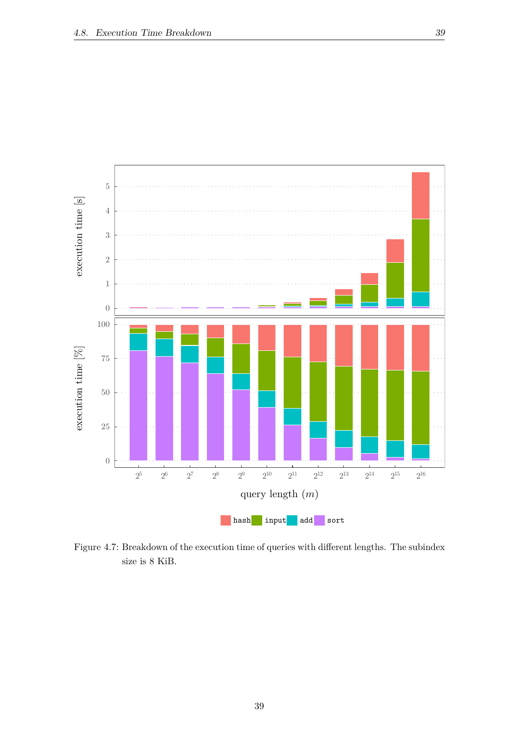<span id="page-48-0"></span>

Figure 4.7: Breakdown of the execution time of queries with different lengths. The subindex size is 8 KiB.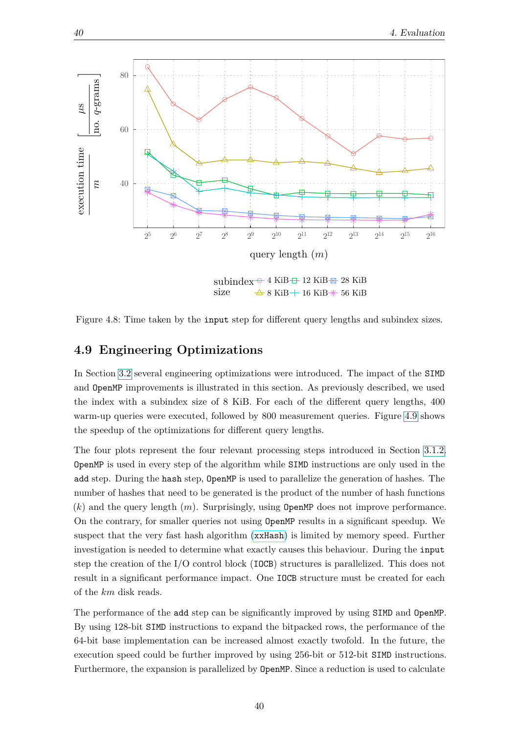<span id="page-49-1"></span>

Figure 4.8: Time taken by the input step for different query lengths and subindex sizes.

#### <span id="page-49-0"></span>**4.9 Engineering Optimizations**

In Section [3.2](#page-34-0) several engineering optimizations were introduced. The impact of the SIMD and OpenMP improvements is illustrated in this section. As previously described, we used the index with a subindex size of 8 KiB. For each of the different query lengths, 400 warm-up queries were executed, followed by 800 measurement queries. Figure [4.9](#page-50-0) shows the speedup of the optimizations for different query lengths.

The four plots represent the four relevant processing steps introduced in Section [3.1.2.](#page-23-0) OpenMP is used in every step of the algorithm while SIMD instructions are only used in the add step. During the hash step, OpenMP is used to parallelize the generation of hashes. The number of hashes that need to be generated is the product of the number of hash functions (*k*) and the query length (*m*). Surprisingly, using OpenMP does not improve performance. On the contrary, for smaller queries not using OpenMP results in a significant speedup. We suspect that the very fast hash algorithm ([xxHash](http://cyan4973.github.io/xxHash/)) is limited by memory speed. Further investigation is needed to determine what exactly causes this behaviour. During the input step the creation of the I/O control block (IOCB) structures is parallelized. This does not result in a significant performance impact. One IOCB structure must be created for each of the *km* disk reads.

The performance of the add step can be significantly improved by using SIMD and OpenMP. By using 128-bit SIMD instructions to expand the bitpacked rows, the performance of the 64-bit base implementation can be increased almost exactly twofold. In the future, the execution speed could be further improved by using 256-bit or 512-bit SIMD instructions. Furthermore, the expansion is parallelized by OpenMP. Since a reduction is used to calculate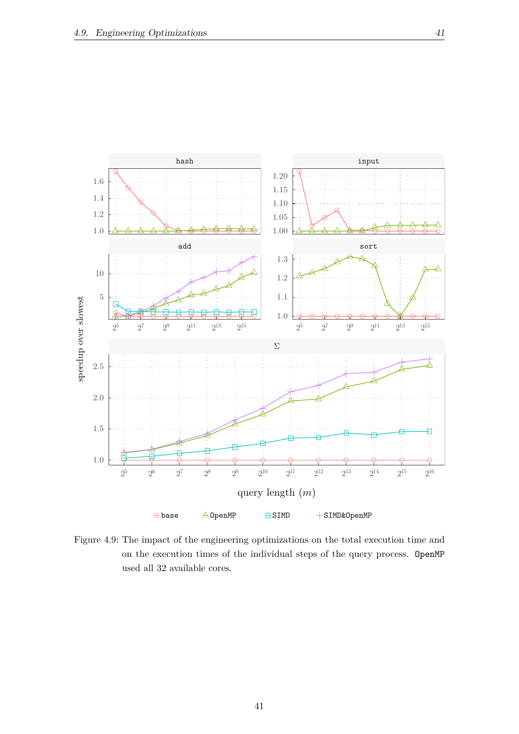<span id="page-50-0"></span>

Figure 4.9: The impact of the engineering optimizations on the total execution time and on the execution times of the individual steps of the query process. OpenMP used all 32 available cores.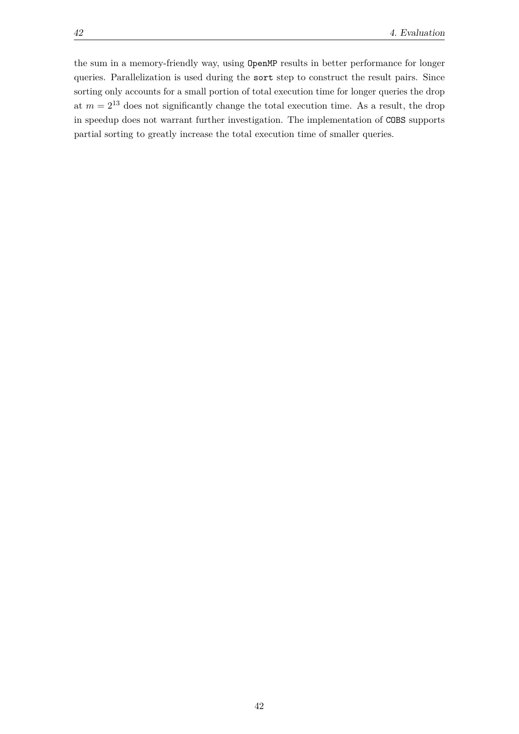the sum in a memory-friendly way, using OpenMP results in better performance for longer queries. Parallelization is used during the sort step to construct the result pairs. Since sorting only accounts for a small portion of total execution time for longer queries the drop at  $m = 2^{13}$  does not significantly change the total execution time. As a result, the drop in speedup does not warrant further investigation. The implementation of COBS supports partial sorting to greatly increase the total execution time of smaller queries.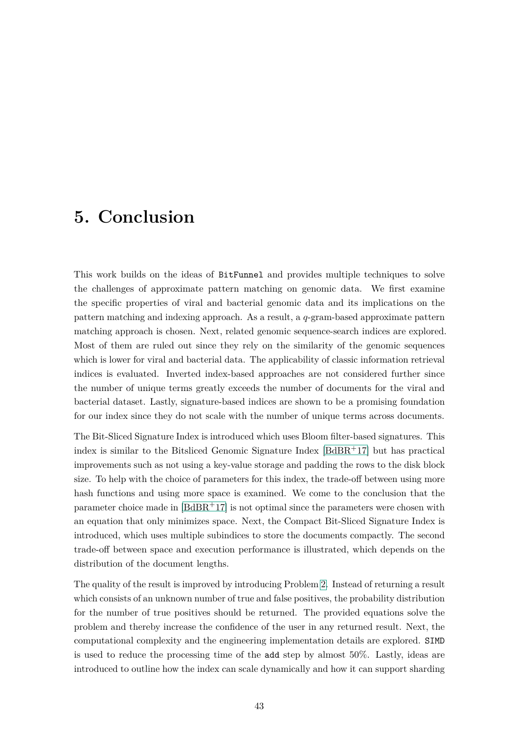### <span id="page-52-0"></span>**5. Conclusion**

This work builds on the ideas of BitFunnel and provides multiple techniques to solve the challenges of approximate pattern matching on genomic data. We first examine the specific properties of viral and bacterial genomic data and its implications on the pattern matching and indexing approach. As a result, a *q*-gram-based approximate pattern matching approach is chosen. Next, related genomic sequence-search indices are explored. Most of them are ruled out since they rely on the similarity of the genomic sequences which is lower for viral and bacterial data. The applicability of classic information retrieval indices is evaluated. Inverted index-based approaches are not considered further since the number of unique terms greatly exceeds the number of documents for the viral and bacterial dataset. Lastly, signature-based indices are shown to be a promising foundation for our index since they do not scale with the number of unique terms across documents.

The Bit-Sliced Signature Index is introduced which uses Bloom filter-based signatures. This index is similar to the Bitsliced Genomic Signature Index  $[BdBR<sup>+</sup>17]$  $[BdBR<sup>+</sup>17]$  but has practical improvements such as not using a key-value storage and padding the rows to the disk block size. To help with the choice of parameters for this index, the trade-off between using more hash functions and using more space is examined. We come to the conclusion that the parameter choice made in [\[BdBR](#page-60-0)+17] is not optimal since the parameters were chosen with an equation that only minimizes space. Next, the Compact Bit-Sliced Signature Index is introduced, which uses multiple subindices to store the documents compactly. The second trade-off between space and execution performance is illustrated, which depends on the distribution of the document lengths.

The quality of the result is improved by introducing Problem [2.](#page-30-2) Instead of returning a result which consists of an unknown number of true and false positives, the probability distribution for the number of true positives should be returned. The provided equations solve the problem and thereby increase the confidence of the user in any returned result. Next, the computational complexity and the engineering implementation details are explored. SIMD is used to reduce the processing time of the add step by almost 50%. Lastly, ideas are introduced to outline how the index can scale dynamically and how it can support sharding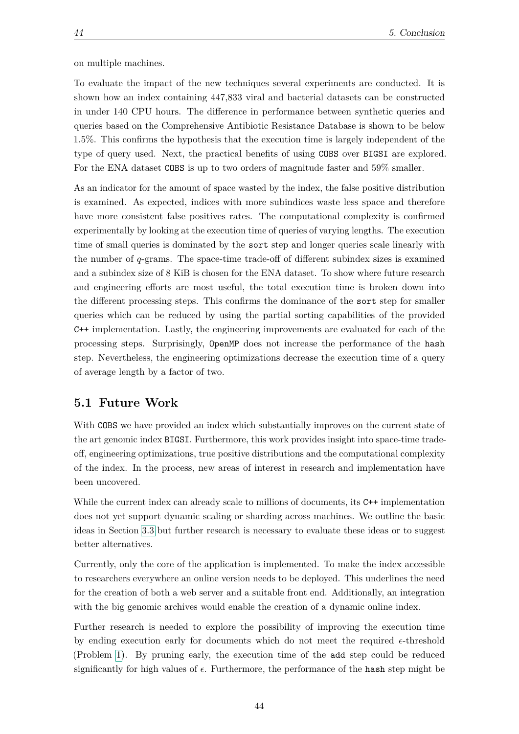on multiple machines.

To evaluate the impact of the new techniques several experiments are conducted. It is shown how an index containing 447,833 viral and bacterial datasets can be constructed in under 140 CPU hours. The difference in performance between synthetic queries and queries based on the Comprehensive Antibiotic Resistance Database is shown to be below 1.5%. This confirms the hypothesis that the execution time is largely independent of the type of query used. Next, the practical benefits of using COBS over BIGSI are explored. For the ENA dataset COBS is up to two orders of magnitude faster and 59% smaller.

As an indicator for the amount of space wasted by the index, the false positive distribution is examined. As expected, indices with more subindices waste less space and therefore have more consistent false positives rates. The computational complexity is confirmed experimentally by looking at the execution time of queries of varying lengths. The execution time of small queries is dominated by the sort step and longer queries scale linearly with the number of *q*-grams. The space-time trade-off of different subindex sizes is examined and a subindex size of 8 KiB is chosen for the ENA dataset. To show where future research and engineering efforts are most useful, the total execution time is broken down into the different processing steps. This confirms the dominance of the sort step for smaller queries which can be reduced by using the partial sorting capabilities of the provided C++ implementation. Lastly, the engineering improvements are evaluated for each of the processing steps. Surprisingly, OpenMP does not increase the performance of the hash step. Nevertheless, the engineering optimizations decrease the execution time of a query of average length by a factor of two.

#### <span id="page-53-0"></span>**5.1 Future Work**

With COBS we have provided an index which substantially improves on the current state of the art genomic index BIGSI. Furthermore, this work provides insight into space-time tradeoff, engineering optimizations, true positive distributions and the computational complexity of the index. In the process, new areas of interest in research and implementation have been uncovered.

While the current index can already scale to millions of documents, its  $C++$  implementation does not yet support dynamic scaling or sharding across machines. We outline the basic ideas in Section [3.3](#page-35-1) but further research is necessary to evaluate these ideas or to suggest better alternatives.

Currently, only the core of the application is implemented. To make the index accessible to researchers everywhere an online version needs to be deployed. This underlines the need for the creation of both a web server and a suitable front end. Additionally, an integration with the big genomic archives would enable the creation of a dynamic online index.

Further research is needed to explore the possibility of improving the execution time by ending execution early for documents which do not meet the required  $\epsilon$ -threshold (Problem [1\)](#page-19-1). By pruning early, the execution time of the add step could be reduced significantly for high values of  $\epsilon$ . Furthermore, the performance of the hash step might be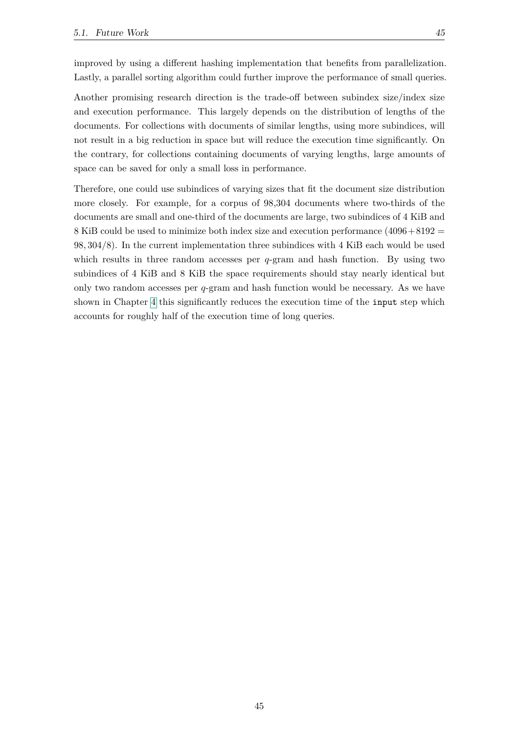improved by using a different hashing implementation that benefits from parallelization. Lastly, a parallel sorting algorithm could further improve the performance of small queries.

Another promising research direction is the trade-off between subindex size/index size and execution performance. This largely depends on the distribution of lengths of the documents. For collections with documents of similar lengths, using more subindices, will not result in a big reduction in space but will reduce the execution time significantly. On the contrary, for collections containing documents of varying lengths, large amounts of space can be saved for only a small loss in performance.

Therefore, one could use subindices of varying sizes that fit the document size distribution more closely. For example, for a corpus of 98,304 documents where two-thirds of the documents are small and one-third of the documents are large, two subindices of 4 KiB and 8 KiB could be used to minimize both index size and execution performance  $(4096+8192)$ 98*,* 304*/*8). In the current implementation three subindices with 4 KiB each would be used which results in three random accesses per *q*-gram and hash function. By using two subindices of 4 KiB and 8 KiB the space requirements should stay nearly identical but only two random accesses per *q*-gram and hash function would be necessary. As we have shown in Chapter [4](#page-38-0) this significantly reduces the execution time of the input step which accounts for roughly half of the execution time of long queries.

45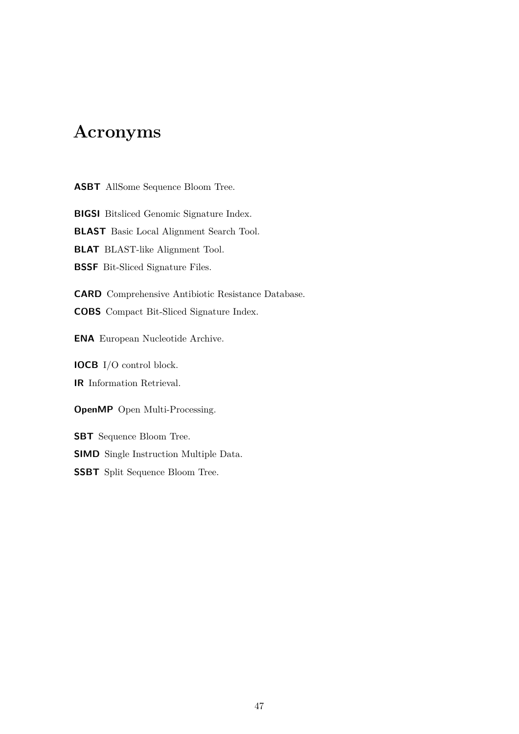### **Acronyms**

**ASBT** AllSome Sequence Bloom Tree.

**BIGSI** Bitsliced Genomic Signature Index.

**BLAST** Basic Local Alignment Search Tool.

**BLAT** BLAST-like Alignment Tool.

**BSSF** Bit-Sliced Signature Files.

**CARD** Comprehensive Antibiotic Resistance Database.

**COBS** Compact Bit-Sliced Signature Index.

**ENA** European Nucleotide Archive.

**IOCB** I/O control block. **IR** Information Retrieval.

**OpenMP** Open Multi-Processing.

**SBT** Sequence Bloom Tree. **SIMD** Single Instruction Multiple Data. **SSBT** Split Sequence Bloom Tree.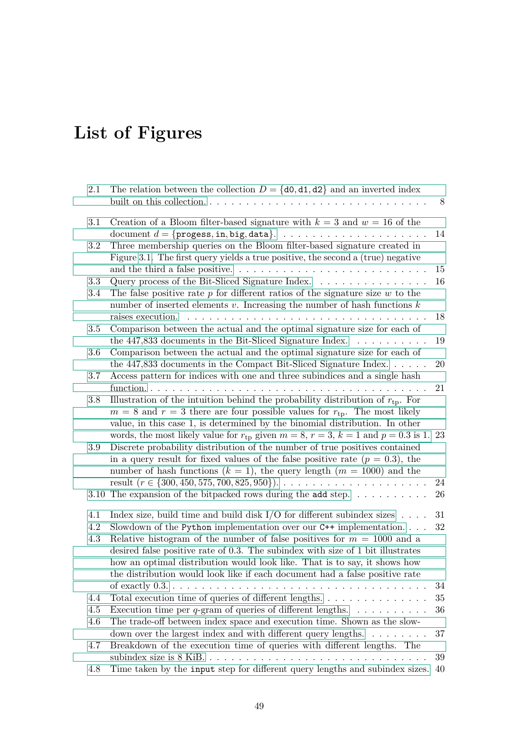# **List of Figures**

| 2.1               | The relation between the collection $D = \{d0, d1, d2\}$ and an inverted index<br>built on this collection                                                                                                                                                                                                                                                                                                                                                                              | 8            |
|-------------------|-----------------------------------------------------------------------------------------------------------------------------------------------------------------------------------------------------------------------------------------------------------------------------------------------------------------------------------------------------------------------------------------------------------------------------------------------------------------------------------------|--------------|
| 3.1               | Creation of a Bloom filter-based signature with $k = 3$ and $w = 16$ of the                                                                                                                                                                                                                                                                                                                                                                                                             | 14           |
| $3.2\,$           | Three membership queries on the Bloom filter-based signature created in<br>Figure 3.1. The first query yields a true positive, the second a (true) negative                                                                                                                                                                                                                                                                                                                             | 15           |
| 3.3<br>3.4        | Query process of the Bit-Sliced Signature Index.<br>The false positive rate $p$ for different ratios of the signature size $w$ to the<br>number of inserted elements $v$ . Increasing the number of hash functions $k$                                                                                                                                                                                                                                                                  | 16           |
| 3.5               | raises execution.<br>Comparison between the actual and the optimal signature size for each of                                                                                                                                                                                                                                                                                                                                                                                           | 18           |
|                   | the 447,833 documents in the Bit-Sliced Signature Index.<br>.                                                                                                                                                                                                                                                                                                                                                                                                                           | 19           |
| 3.6               | Comparison between the actual and the optimal signature size for each of<br>the $447,833$ documents in the Compact Bit-Sliced Signature Index. $\dots$ .                                                                                                                                                                                                                                                                                                                                | 20           |
| 3.7               | Access pattern for indices with one and three subindices and a single hash<br>function<br>$\mathbf{1}$ $\mathbf{1}$ $\mathbf{1}$ $\mathbf{1}$ $\mathbf{1}$ $\mathbf{1}$                                                                                                                                                                                                                                                                                                                 | 21           |
| 3.8               | Illustration of the intuition behind the probability distribution of $r_{\text{tp}}$ . For<br>$m = 8$ and $r = 3$ there are four possible values for $r_{\text{tp}}$ . The most likely<br>value, in this case 1, is determined by the binomial distribution. In other                                                                                                                                                                                                                   |              |
| 3.9               | words, the most likely value for $r_{tp}$ given $m = 8$ , $r = 3$ , $k = 1$ and $p = 0.3$ is 1. 23<br>Discrete probability distribution of the number of true positives contained<br>in a query result for fixed values of the false positive rate $(p = 0.3)$ , the<br>number of hash functions $(k = 1)$ , the query length $(m = 1000)$ and the                                                                                                                                      |              |
|                   | 3.10 The expansion of the bit packed rows during the add step. $\dots \dots \dots$                                                                                                                                                                                                                                                                                                                                                                                                      | 24<br>26     |
| 4.1<br>4.2<br>4.3 | Index size, build time and build disk I/O for different subindex sizes $\ldots$ .<br>Slowdown of the Python implementation over our $C++$ implementation.<br>Relative histogram of the number of false positives for $m = 1000$ and a<br>desired false positive rate of $0.3$ . The subindex with size of 1 bit illustrates<br>how an optimal distribution would look like. That is to say, it shows how<br>the distribution would look like if each document had a false positive rate | 31<br>$32\,$ |
|                   |                                                                                                                                                                                                                                                                                                                                                                                                                                                                                         | 34           |
| 4.4               | Total execution time of queries of different lengths.                                                                                                                                                                                                                                                                                                                                                                                                                                   | 35           |
| 4.5               | Execution time per q-gram of queries of different lengths. $\dots \dots \dots$                                                                                                                                                                                                                                                                                                                                                                                                          | 36           |
| 4.6               | The trade-off between index space and execution time. Shown as the slow-<br>down over the largest index and with different query lengths. $\dots \dots \dots$                                                                                                                                                                                                                                                                                                                           | 37           |
| 4.7               | Breakdown of the execution time of queries with different lengths. The                                                                                                                                                                                                                                                                                                                                                                                                                  |              |
|                   |                                                                                                                                                                                                                                                                                                                                                                                                                                                                                         | 39           |
| 4.8               | Time taken by the input step for different query lengths and subindex sizes.                                                                                                                                                                                                                                                                                                                                                                                                            | 40           |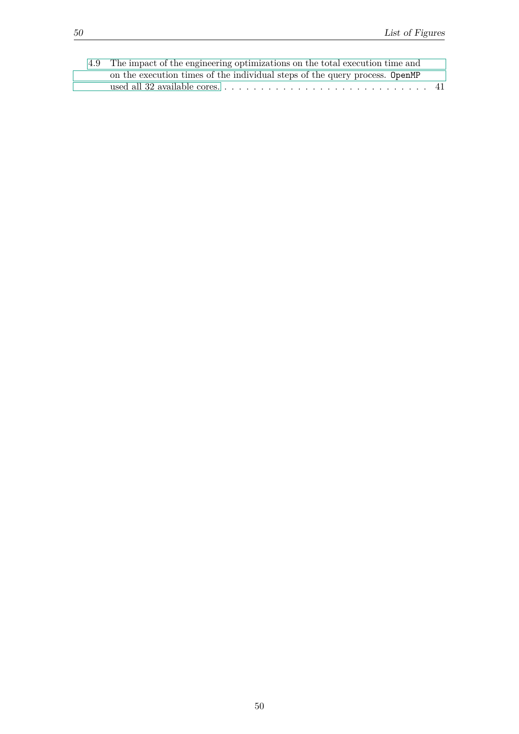| 4.9 The impact of the engineering optimizations on the total execution time and |
|---------------------------------------------------------------------------------|
| on the execution times of the individual steps of the query process. OpenMP     |
|                                                                                 |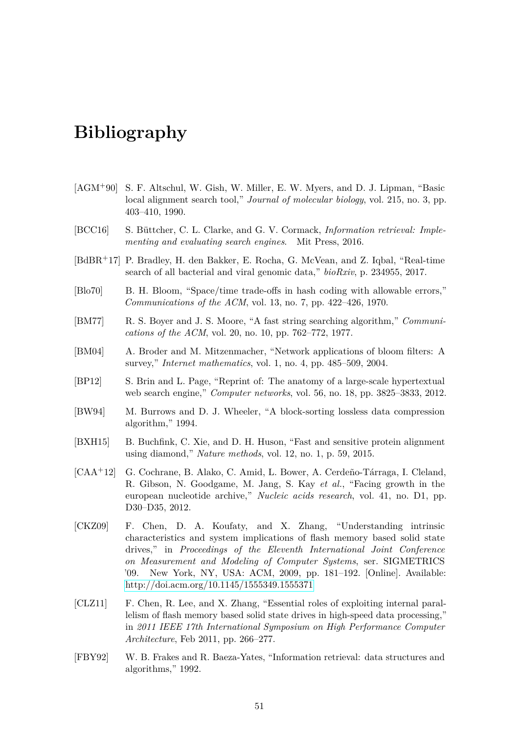### <span id="page-60-1"></span>**Bibliography**

- <span id="page-60-3"></span>[AGM+90] S. F. Altschul, W. Gish, W. Miller, E. W. Myers, and D. J. Lipman, "Basic local alignment search tool," *Journal of molecular biology*, vol. 215, no. 3, pp. 403–410, 1990.
- <span id="page-60-8"></span>[BCC16] S. Büttcher, C. L. Clarke, and G. V. Cormack, *Information retrieval: Implementing and evaluating search engines*. Mit Press, 2016.
- <span id="page-60-0"></span>[BdBR+17] P. Bradley, H. den Bakker, E. Rocha, G. McVean, and Z. Iqbal, "Real-time search of all bacterial and viral genomic data," *bioRxiv*, p. 234955, 2017.
- <span id="page-60-10"></span>[Blo70] B. H. Bloom, "Space/time trade-offs in hash coding with allowable errors," *Communications of the ACM*, vol. 13, no. 7, pp. 422–426, 1970.
- <span id="page-60-5"></span>[BM77] R. S. Boyer and J. S. Moore, "A fast string searching algorithm," *Communications of the ACM*, vol. 20, no. 10, pp. 762–772, 1977.
- <span id="page-60-11"></span>[BM04] A. Broder and M. Mitzenmacher, "Network applications of bloom filters: A survey," *Internet mathematics*, vol. 1, no. 4, pp. 485–509, 2004.
- <span id="page-60-9"></span>[BP12] S. Brin and L. Page, "Reprint of: The anatomy of a large-scale hypertextual web search engine," *Computer networks*, vol. 56, no. 18, pp. 3825–3833, 2012.
- <span id="page-60-4"></span>[BW94] M. Burrows and D. J. Wheeler, "A block-sorting lossless data compression algorithm," 1994.
- <span id="page-60-6"></span>[BXH15] B. Buchfink, C. Xie, and D. H. Huson, "Fast and sensitive protein alignment using diamond," *Nature methods*, vol. 12, no. 1, p. 59, 2015.
- <span id="page-60-2"></span>[CAA+12] G. Cochrane, B. Alako, C. Amid, L. Bower, A. Cerdeño-Tárraga, I. Cleland, R. Gibson, N. Goodgame, M. Jang, S. Kay *et al.*, "Facing growth in the european nucleotide archive," *Nucleic acids research*, vol. 41, no. D1, pp. D30–D35, 2012.
- <span id="page-60-12"></span>[CKZ09] F. Chen, D. A. Koufaty, and X. Zhang, "Understanding intrinsic characteristics and system implications of flash memory based solid state drives," in *Proceedings of the Eleventh International Joint Conference on Measurement and Modeling of Computer Systems*, ser. SIGMETRICS '09. New York, NY, USA: ACM, 2009, pp. 181–192. [Online]. Available: <http://doi.acm.org/10.1145/1555349.1555371>
- <span id="page-60-13"></span>[CLZ11] F. Chen, R. Lee, and X. Zhang, "Essential roles of exploiting internal parallelism of flash memory based solid state drives in high-speed data processing," in *2011 IEEE 17th International Symposium on High Performance Computer Architecture*, Feb 2011, pp. 266–277.
- <span id="page-60-7"></span>[FBY92] W. B. Frakes and R. Baeza-Yates, "Information retrieval: data structures and algorithms," 1992.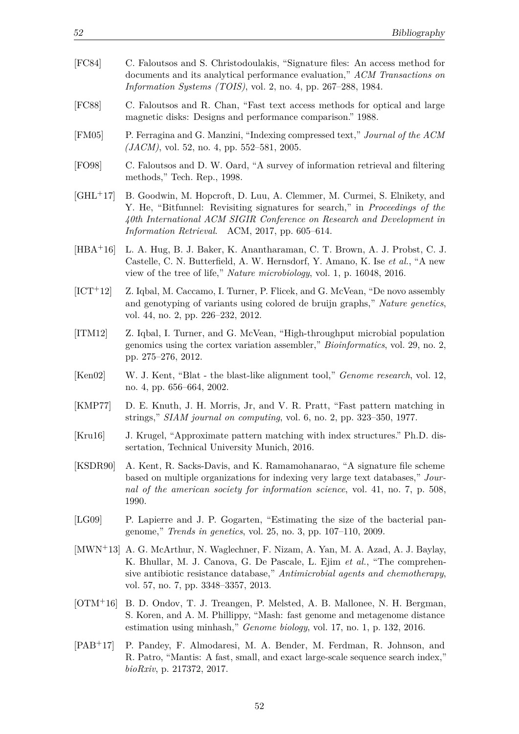- <span id="page-61-12"></span>[FC84] C. Faloutsos and S. Christodoulakis, "Signature files: An access method for documents and its analytical performance evaluation," *ACM Transactions on Information Systems (TOIS)*, vol. 2, no. 4, pp. 267–288, 1984. [FC88] C. Faloutsos and R. Chan, "Fast text access methods for optical and large magnetic disks: Designs and performance comparison." 1988.
- <span id="page-61-13"></span><span id="page-61-1"></span>[FM05] P. Ferragina and G. Manzini, "Indexing compressed text," *Journal of the ACM (JACM)*, vol. 52, no. 4, pp. 552–581, 2005.
- <span id="page-61-10"></span>[FO98] C. Faloutsos and D. W. Oard, "A survey of information retrieval and filtering methods," Tech. Rep., 1998.
- <span id="page-61-3"></span>[GHL+17] B. Goodwin, M. Hopcroft, D. Luu, A. Clemmer, M. Curmei, S. Elnikety, and Y. He, "Bitfunnel: Revisiting signatures for search," in *Proceedings of the 40th International ACM SIGIR Conference on Research and Development in Information Retrieval*. ACM, 2017, pp. 605–614.
- <span id="page-61-0"></span>[HBA+16] L. A. Hug, B. J. Baker, K. Anantharaman, C. T. Brown, A. J. Probst, C. J. Castelle, C. N. Butterfield, A. W. Hernsdorf, Y. Amano, K. Ise *et al.*, "A new view of the tree of life," *Nature microbiology*, vol. 1, p. 16048, 2016.
- <span id="page-61-5"></span>[ICT+12] Z. Iqbal, M. Caccamo, I. Turner, P. Flicek, and G. McVean, "De novo assembly and genotyping of variants using colored de bruijn graphs," *Nature genetics*, vol. 44, no. 2, pp. 226–232, 2012.
- <span id="page-61-6"></span>[ITM12] Z. Iqbal, I. Turner, and G. McVean, "High-throughput microbial population genomics using the cortex variation assembler," *Bioinformatics*, vol. 29, no. 2, pp. 275–276, 2012.
- <span id="page-61-11"></span>[Ken02] W. J. Kent, "Blat - the blast-like alignment tool," *Genome research*, vol. 12, no. 4, pp. 656–664, 2002.
- <span id="page-61-9"></span>[KMP77] D. E. Knuth, J. H. Morris, Jr, and V. R. Pratt, "Fast pattern matching in strings," *SIAM journal on computing*, vol. 6, no. 2, pp. 323–350, 1977.
- <span id="page-61-7"></span>[Kru16] J. Krugel, "Approximate pattern matching with index structures." Ph.D. dissertation, Technical University Munich, 2016.
- <span id="page-61-14"></span>[KSDR90] A. Kent, R. Sacks-Davis, and K. Ramamohanarao, "A signature file scheme based on multiple organizations for indexing very large text databases," *Journal of the american society for information science*, vol. 41, no. 7, p. 508, 1990.
- <span id="page-61-4"></span>[LG09] P. Lapierre and J. P. Gogarten, "Estimating the size of the bacterial pangenome," *Trends in genetics*, vol. 25, no. 3, pp. 107–110, 2009.
- <span id="page-61-15"></span>[MWN+13] A. G. McArthur, N. Waglechner, F. Nizam, A. Yan, M. A. Azad, A. J. Baylay, K. Bhullar, M. J. Canova, G. De Pascale, L. Ejim *et al.*, "The comprehensive antibiotic resistance database," *Antimicrobial agents and chemotherapy*, vol. 57, no. 7, pp. 3348–3357, 2013.
- <span id="page-61-8"></span>[OTM+16] B. D. Ondov, T. J. Treangen, P. Melsted, A. B. Mallonee, N. H. Bergman, S. Koren, and A. M. Phillippy, "Mash: fast genome and metagenome distance estimation using minhash," *Genome biology*, vol. 17, no. 1, p. 132, 2016.
- <span id="page-61-2"></span>[PAB+17] P. Pandey, F. Almodaresi, M. A. Bender, M. Ferdman, R. Johnson, and R. Patro, "Mantis: A fast, small, and exact large-scale sequence search index," *bioRxiv*, p. 217372, 2017.